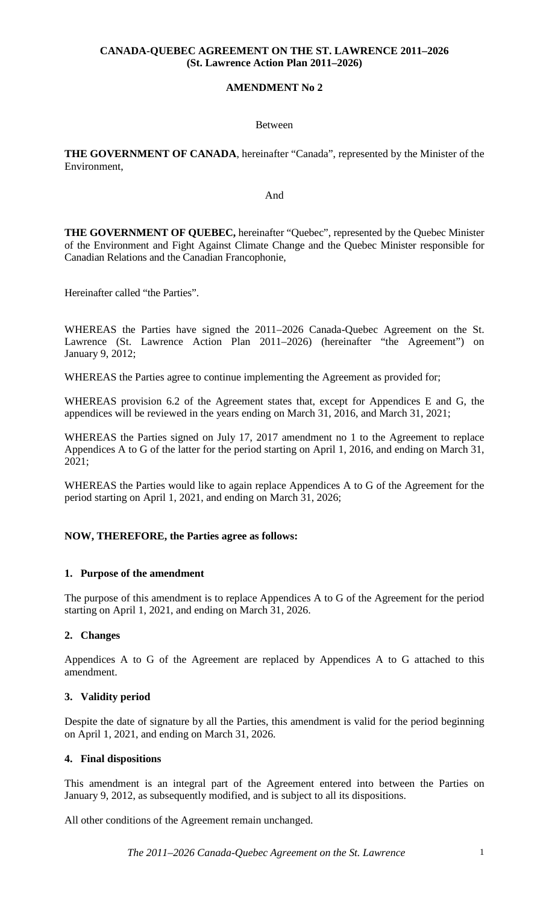## **CANADA-QUEBEC AGREEMENT ON THE ST. LAWRENCE 2011–2026 (St. Lawrence Action Plan 2011–2026)**

## **AMENDMENT No 2**

### Between

**THE GOVERNMENT OF CANADA**, hereinafter "Canada", represented by the Minister of the Environment,

#### And

**THE GOVERNMENT OF QUEBEC,** hereinafter "Quebec", represented by the Quebec Minister of the Environment and Fight Against Climate Change and the Quebec Minister responsible for Canadian Relations and the Canadian Francophonie,

Hereinafter called "the Parties".

WHEREAS the Parties have signed the 2011–2026 Canada-Quebec Agreement on the St. Lawrence (St. Lawrence Action Plan 2011–2026) (hereinafter "the Agreement") on January 9, 2012;

WHEREAS the Parties agree to continue implementing the Agreement as provided for;

WHEREAS provision 6.2 of the Agreement states that, except for Appendices E and G, the appendices will be reviewed in the years ending on March 31, 2016, and March 31, 2021;

WHEREAS the Parties signed on July 17, 2017 amendment no 1 to the Agreement to replace Appendices A to G of the latter for the period starting on April 1, 2016, and ending on March 31, 2021;

WHEREAS the Parties would like to again replace Appendices A to G of the Agreement for the period starting on April 1, 2021, and ending on March 31, 2026;

## **NOW, THEREFORE, the Parties agree as follows:**

## **1. Purpose of the amendment**

The purpose of this amendment is to replace Appendices A to G of the Agreement for the period starting on April 1, 2021, and ending on March 31, 2026.

## **2. Changes**

Appendices A to G of the Agreement are replaced by Appendices A to G attached to this amendment.

## **3. Validity period**

Despite the date of signature by all the Parties, this amendment is valid for the period beginning on April 1, 2021, and ending on March 31, 2026.

## **4. Final dispositions**

This amendment is an integral part of the Agreement entered into between the Parties on January 9, 2012, as subsequently modified, and is subject to all its dispositions.

All other conditions of the Agreement remain unchanged.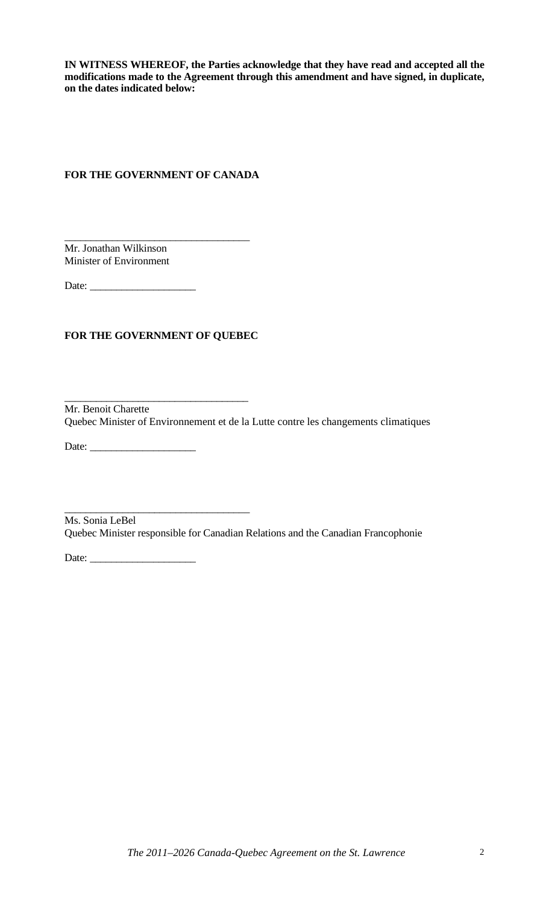**IN WITNESS WHEREOF, the Parties acknowledge that they have read and accepted all the modifications made to the Agreement through this amendment and have signed, in duplicate, on the dates indicated below:** 

## **FOR THE GOVERNMENT OF CANADA**

 $\overline{\phantom{a}}$  , and the contract of the contract of the contract of  $\overline{\phantom{a}}$ Mr. Jonathan Wilkinson Minister of Environment

Date: \_\_\_\_\_\_\_\_\_\_\_\_\_\_\_\_\_\_\_\_

## **FOR THE GOVERNMENT OF QUEBEC**

 $\frac{1}{2}$  ,  $\frac{1}{2}$  ,  $\frac{1}{2}$  ,  $\frac{1}{2}$  ,  $\frac{1}{2}$  ,  $\frac{1}{2}$  ,  $\frac{1}{2}$  ,  $\frac{1}{2}$  ,  $\frac{1}{2}$  ,  $\frac{1}{2}$  ,  $\frac{1}{2}$  ,  $\frac{1}{2}$  ,  $\frac{1}{2}$  ,  $\frac{1}{2}$  ,  $\frac{1}{2}$  ,  $\frac{1}{2}$  ,  $\frac{1}{2}$  ,  $\frac{1}{2}$  ,  $\frac{1$ Mr. Benoit Charette Quebec Minister of Environnement et de la Lutte contre les changements climatiques

Date: \_\_\_\_\_\_\_\_\_\_\_\_\_\_\_\_\_\_\_\_

 $\_$  ,  $\_$  ,  $\_$  ,  $\_$  ,  $\_$  ,  $\_$  ,  $\_$  ,  $\_$  ,  $\_$  ,  $\_$  ,  $\_$  ,  $\_$  ,  $\_$  ,  $\_$  ,  $\_$  ,  $\_$  ,  $\_$  ,  $\_$  ,  $\_$  ,  $\_$  ,  $\_$  ,  $\_$  ,  $\_$  ,  $\_$  ,  $\_$  ,  $\_$  ,  $\_$  ,  $\_$  ,  $\_$  ,  $\_$  ,  $\_$  ,  $\_$  ,  $\_$  ,  $\_$  ,  $\_$  ,  $\_$  ,  $\_$  , Ms. Sonia LeBel Quebec Minister responsible for Canadian Relations and the Canadian Francophonie

Date: \_\_\_\_\_\_\_\_\_\_\_\_\_\_\_\_\_\_\_\_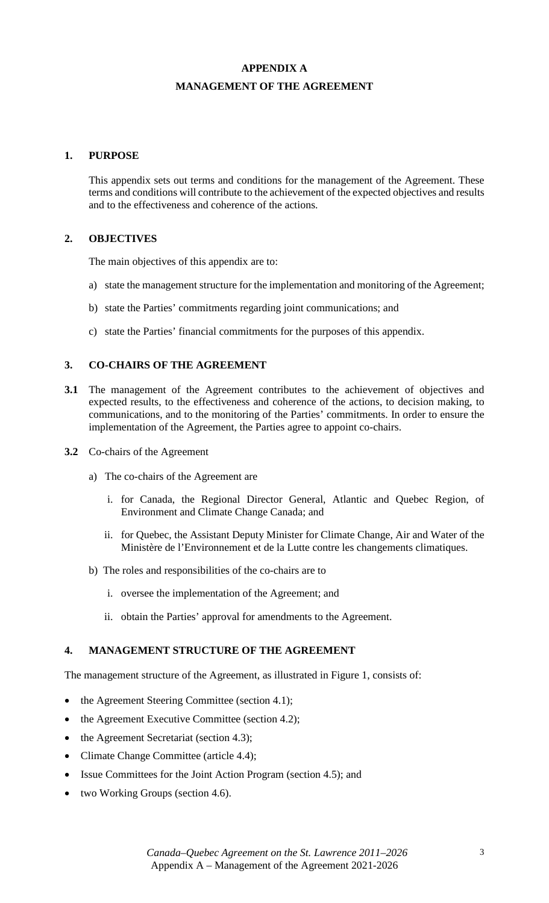# **APPENDIX A MANAGEMENT OF THE AGREEMENT**

## **1. PURPOSE**

This appendix sets out terms and conditions for the management of the Agreement. These terms and conditions will contribute to the achievement of the expected objectives and results and to the effectiveness and coherence of the actions.

## **2. OBJECTIVES**

The main objectives of this appendix are to:

- a) state the management structure for the implementation and monitoring of the Agreement;
- b) state the Parties' commitments regarding joint communications; and
- c) state the Parties' financial commitments for the purposes of this appendix.

## **3. CO-CHAIRS OF THE AGREEMENT**

- **3.1** The management of the Agreement contributes to the achievement of objectives and expected results, to the effectiveness and coherence of the actions, to decision making, to communications, and to the monitoring of the Parties' commitments. In order to ensure the implementation of the Agreement, the Parties agree to appoint co-chairs.
- **3.2** Co-chairs of the Agreement
	- a) The co-chairs of the Agreement are
		- i. for Canada, the Regional Director General, Atlantic and Quebec Region, of Environment and Climate Change Canada; and
		- ii. for Quebec, the Assistant Deputy Minister for Climate Change, Air and Water of the Ministère de l'Environnement et de la Lutte contre les changements climatiques.
	- b) The roles and responsibilities of the co-chairs are to
		- i. oversee the implementation of the Agreement; and
		- ii. obtain the Parties' approval for amendments to the Agreement.

## **4. MANAGEMENT STRUCTURE OF THE AGREEMENT**

The management structure of the Agreement, as illustrated in Figure 1, consists of:

- the Agreement Steering Committee (section 4.1);
- the Agreement Executive Committee (section 4.2);
- the Agreement Secretariat (section 4.3);
- Climate Change Committee (article 4.4);
- Issue Committees for the Joint Action Program (section 4.5); and
- two Working Groups (section 4.6).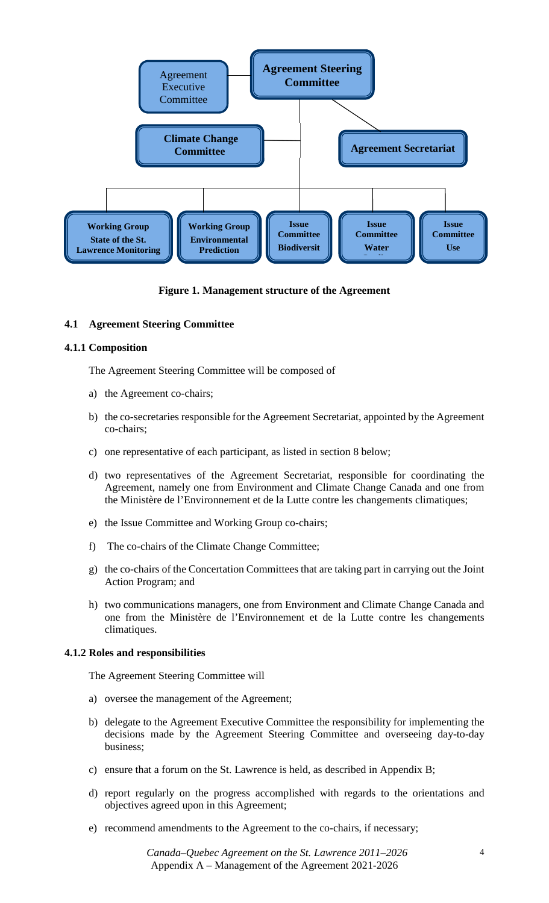

**Figure 1. Management structure of the Agreement** 

## **4.1 Agreement Steering Committee**

## **4.1.1 Composition**

The Agreement Steering Committee will be composed of

- a) the Agreement co-chairs;
- b) the co-secretaries responsible for the Agreement Secretariat, appointed by the Agreement co-chairs;
- c) one representative of each participant, as listed in section 8 below;
- d) two representatives of the Agreement Secretariat, responsible for coordinating the Agreement, namely one from Environment and Climate Change Canada and one from the Ministère de l'Environnement et de la Lutte contre les changements climatiques;
- e) the Issue Committee and Working Group co-chairs;
- f) The co-chairs of the Climate Change Committee;
- g) the co-chairs of the Concertation Committees that are taking part in carrying out the Joint Action Program; and
- h) two communications managers, one from Environment and Climate Change Canada and one from the Ministère de l'Environnement et de la Lutte contre les changements climatiques.

## **4.1.2 Roles and responsibilities**

The Agreement Steering Committee will

- a) oversee the management of the Agreement;
- b) delegate to the Agreement Executive Committee the responsibility for implementing the decisions made by the Agreement Steering Committee and overseeing day-to-day business;
- c) ensure that a forum on the St. Lawrence is held, as described in Appendix B;
- d) report regularly on the progress accomplished with regards to the orientations and objectives agreed upon in this Agreement;
- e) recommend amendments to the Agreement to the co-chairs, if necessary;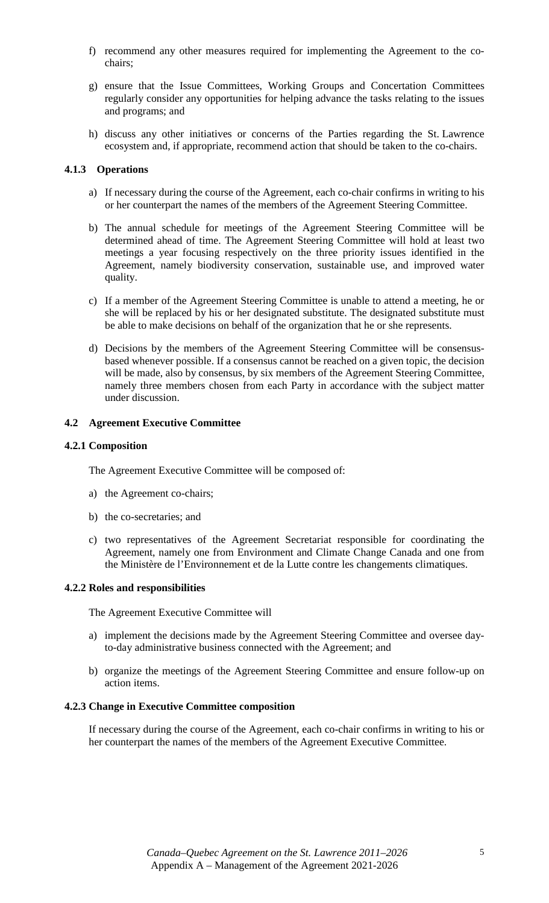- f) recommend any other measures required for implementing the Agreement to the cochairs;
- g) ensure that the Issue Committees, Working Groups and Concertation Committees regularly consider any opportunities for helping advance the tasks relating to the issues and programs; and
- h) discuss any other initiatives or concerns of the Parties regarding the St. Lawrence ecosystem and, if appropriate, recommend action that should be taken to the co-chairs.

## **4.1.3 Operations**

- a) If necessary during the course of the Agreement, each co-chair confirms in writing to his or her counterpart the names of the members of the Agreement Steering Committee.
- b) The annual schedule for meetings of the Agreement Steering Committee will be determined ahead of time. The Agreement Steering Committee will hold at least two meetings a year focusing respectively on the three priority issues identified in the Agreement, namely biodiversity conservation, sustainable use, and improved water quality.
- c) If a member of the Agreement Steering Committee is unable to attend a meeting, he or she will be replaced by his or her designated substitute. The designated substitute must be able to make decisions on behalf of the organization that he or she represents.
- d) Decisions by the members of the Agreement Steering Committee will be consensusbased whenever possible. If a consensus cannot be reached on a given topic, the decision will be made, also by consensus, by six members of the Agreement Steering Committee, namely three members chosen from each Party in accordance with the subject matter under discussion.

## **4.2 Agreement Executive Committee**

#### **4.2.1 Composition**

The Agreement Executive Committee will be composed of:

- a) the Agreement co-chairs;
- b) the co-secretaries; and
- c) two representatives of the Agreement Secretariat responsible for coordinating the Agreement, namely one from Environment and Climate Change Canada and one from the Ministère de l'Environnement et de la Lutte contre les changements climatiques.

## **4.2.2 Roles and responsibilities**

The Agreement Executive Committee will

- a) implement the decisions made by the Agreement Steering Committee and oversee dayto-day administrative business connected with the Agreement; and
- b) organize the meetings of the Agreement Steering Committee and ensure follow-up on action items.

#### **4.2.3 Change in Executive Committee composition**

If necessary during the course of the Agreement, each co-chair confirms in writing to his or her counterpart the names of the members of the Agreement Executive Committee.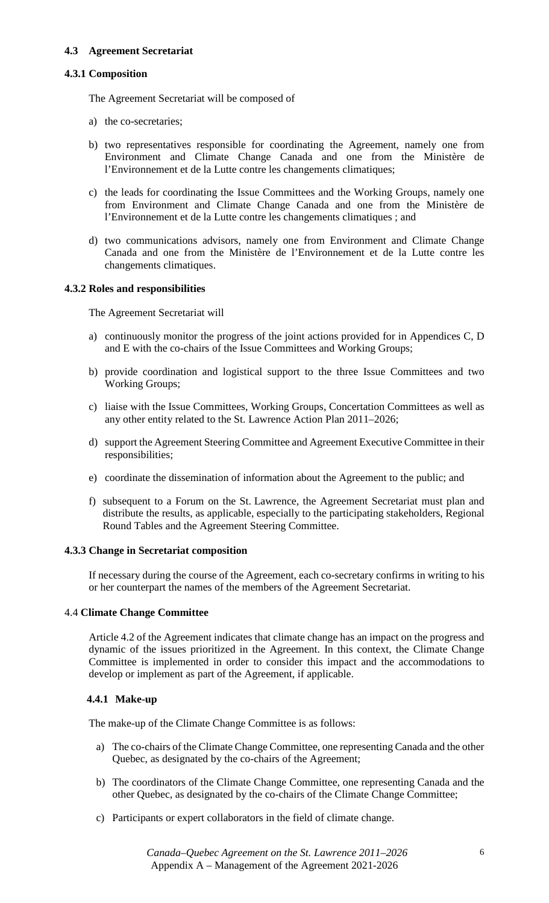## **4.3 Agreement Secretariat**

## **4.3.1 Composition**

The Agreement Secretariat will be composed of

- a) the co-secretaries;
- b) two representatives responsible for coordinating the Agreement, namely one from Environment and Climate Change Canada and one from the Ministère de l'Environnement et de la Lutte contre les changements climatiques;
- c) the leads for coordinating the Issue Committees and the Working Groups, namely one from Environment and Climate Change Canada and one from the Ministère de l'Environnement et de la Lutte contre les changements climatiques ; and
- d) two communications advisors, namely one from Environment and Climate Change Canada and one from the Ministère de l'Environnement et de la Lutte contre les changements climatiques.

## **4.3.2 Roles and responsibilities**

The Agreement Secretariat will

- a) continuously monitor the progress of the joint actions provided for in Appendices C, D and E with the co-chairs of the Issue Committees and Working Groups;
- b) provide coordination and logistical support to the three Issue Committees and two Working Groups;
- c) liaise with the Issue Committees, Working Groups, Concertation Committees as well as any other entity related to the St. Lawrence Action Plan 2011–2026;
- d) support the Agreement Steering Committee and Agreement Executive Committee in their responsibilities;
- e) coordinate the dissemination of information about the Agreement to the public; and
- f) subsequent to a Forum on the St. Lawrence, the Agreement Secretariat must plan and distribute the results, as applicable, especially to the participating stakeholders, Regional Round Tables and the Agreement Steering Committee.

## **4.3.3 Change in Secretariat composition**

If necessary during the course of the Agreement, each co-secretary confirms in writing to his or her counterpart the names of the members of the Agreement Secretariat.

## 4.4 **Climate Change Committee**

Article 4.2 of the Agreement indicates that climate change has an impact on the progress and dynamic of the issues prioritized in the Agreement. In this context, the Climate Change Committee is implemented in order to consider this impact and the accommodations to develop or implement as part of the Agreement, if applicable.

## **4.4.1 Make-up**

The make-up of the Climate Change Committee is as follows:

- a) The co-chairs of the Climate Change Committee, one representing Canada and the other Quebec, as designated by the co-chairs of the Agreement;
- b) The coordinators of the Climate Change Committee, one representing Canada and the other Quebec, as designated by the co-chairs of the Climate Change Committee;
- c) Participants or expert collaborators in the field of climate change.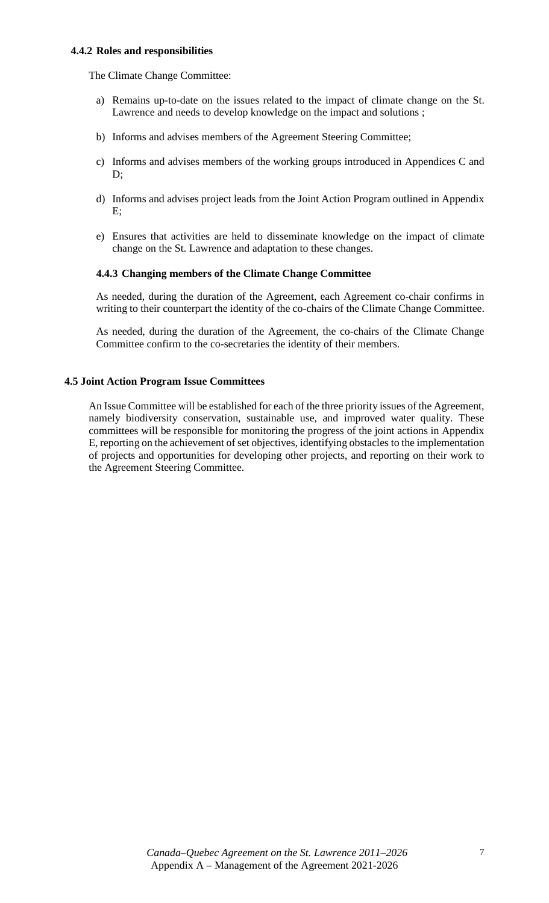#### **4.4.2 Roles and responsibilities**

The Climate Change Committee:

- a) Remains up-to-date on the issues related to the impact of climate change on the St. Lawrence and needs to develop knowledge on the impact and solutions ;
- b) Informs and advises members of the Agreement Steering Committee;
- c) Informs and advises members of the working groups introduced in Appendices C and D;
- d) Informs and advises project leads from the Joint Action Program outlined in Appendix E;
- e) Ensures that activities are held to disseminate knowledge on the impact of climate change on the St. Lawrence and adaptation to these changes.

#### **4.4.3 Changing members of the Climate Change Committee**

As needed, during the duration of the Agreement, each Agreement co-chair confirms in writing to their counterpart the identity of the co-chairs of the Climate Change Committee.

As needed, during the duration of the Agreement, the co-chairs of the Climate Change Committee confirm to the co-secretaries the identity of their members.

#### **4.5 Joint Action Program Issue Committees**

An Issue Committee will be established for each of the three priority issues of the Agreement, namely biodiversity conservation, sustainable use, and improved water quality. These committees will be responsible for monitoring the progress of the joint actions in Appendix E, reporting on the achievement of set objectives, identifying obstacles to the implementation of projects and opportunities for developing other projects, and reporting on their work to the Agreement Steering Committee.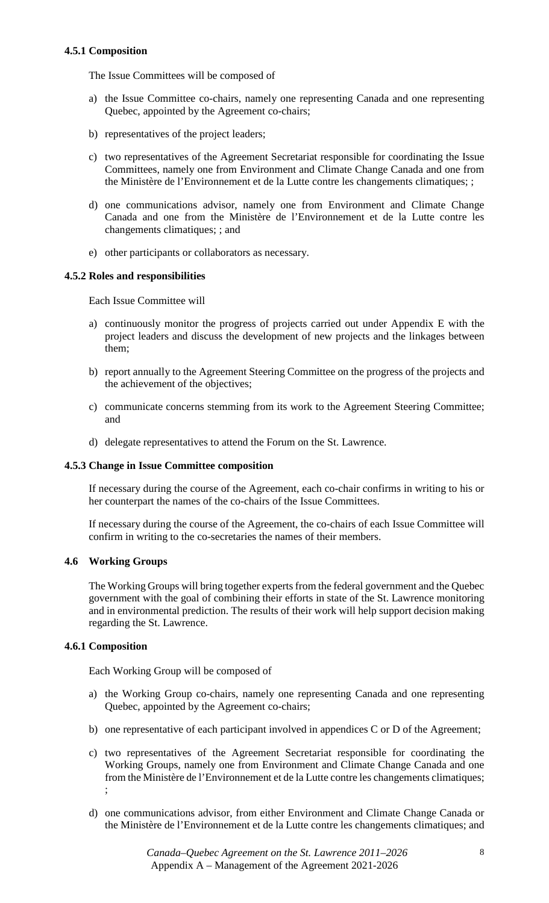## **4.5.1 Composition**

The Issue Committees will be composed of

- a) the Issue Committee co-chairs, namely one representing Canada and one representing Quebec, appointed by the Agreement co-chairs;
- b) representatives of the project leaders;
- c) two representatives of the Agreement Secretariat responsible for coordinating the Issue Committees, namely one from Environment and Climate Change Canada and one from the Ministère de l'Environnement et de la Lutte contre les changements climatiques; ;
- d) one communications advisor, namely one from Environment and Climate Change Canada and one from the Ministère de l'Environnement et de la Lutte contre les changements climatiques; ; and
- e) other participants or collaborators as necessary.

## **4.5.2 Roles and responsibilities**

Each Issue Committee will

- a) continuously monitor the progress of projects carried out under Appendix E with the project leaders and discuss the development of new projects and the linkages between them;
- b) report annually to the Agreement Steering Committee on the progress of the projects and the achievement of the objectives;
- c) communicate concerns stemming from its work to the Agreement Steering Committee; and
- d) delegate representatives to attend the Forum on the St. Lawrence.

## **4.5.3 Change in Issue Committee composition**

If necessary during the course of the Agreement, each co-chair confirms in writing to his or her counterpart the names of the co-chairs of the Issue Committees.

If necessary during the course of the Agreement, the co-chairs of each Issue Committee will confirm in writing to the co-secretaries the names of their members.

## **4.6 Working Groups**

The Working Groups will bring together experts from the federal government and the Quebec government with the goal of combining their efforts in state of the St. Lawrence monitoring and in environmental prediction. The results of their work will help support decision making regarding the St. Lawrence.

## **4.6.1 Composition**

Each Working Group will be composed of

- a) the Working Group co-chairs, namely one representing Canada and one representing Quebec, appointed by the Agreement co-chairs;
- b) one representative of each participant involved in appendices C or D of the Agreement;
- c) two representatives of the Agreement Secretariat responsible for coordinating the Working Groups, namely one from Environment and Climate Change Canada and one from the Ministère de l'Environnement et de la Lutte contre les changements climatiques; ;
- d) one communications advisor, from either Environment and Climate Change Canada or the Ministère de l'Environnement et de la Lutte contre les changements climatiques; and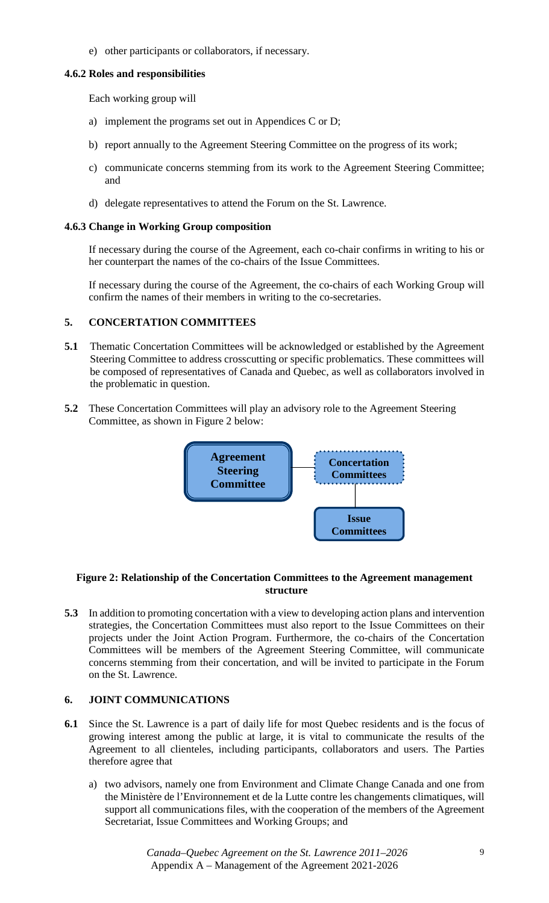e) other participants or collaborators, if necessary.

## **4.6.2 Roles and responsibilities**

Each working group will

- a) implement the programs set out in Appendices C or D;
- b) report annually to the Agreement Steering Committee on the progress of its work;
- c) communicate concerns stemming from its work to the Agreement Steering Committee; and
- d) delegate representatives to attend the Forum on the St. Lawrence.

## **4.6.3 Change in Working Group composition**

If necessary during the course of the Agreement, each co-chair confirms in writing to his or her counterpart the names of the co-chairs of the Issue Committees.

If necessary during the course of the Agreement, the co-chairs of each Working Group will confirm the names of their members in writing to the co-secretaries.

## **5. CONCERTATION COMMITTEES**

- **5.1** Thematic Concertation Committees will be acknowledged or established by the Agreement Steering Committee to address crosscutting or specific problematics. These committees will be composed of representatives of Canada and Quebec, as well as collaborators involved in the problematic in question.
- **5.2** These Concertation Committees will play an advisory role to the Agreement Steering Committee, as shown in Figure 2 below:



## **Figure 2: Relationship of the Concertation Committees to the Agreement management structure**

**5.3** In addition to promoting concertation with a view to developing action plans and intervention strategies, the Concertation Committees must also report to the Issue Committees on their projects under the Joint Action Program. Furthermore, the co-chairs of the Concertation Committees will be members of the Agreement Steering Committee, will communicate concerns stemming from their concertation, and will be invited to participate in the Forum on the St. Lawrence.

## **6. JOINT COMMUNICATIONS**

- **6.1** Since the St. Lawrence is a part of daily life for most Quebec residents and is the focus of growing interest among the public at large, it is vital to communicate the results of the Agreement to all clienteles, including participants, collaborators and users. The Parties therefore agree that
	- a) two advisors, namely one from Environment and Climate Change Canada and one from the Ministère de l'Environnement et de la Lutte contre les changements climatiques, will support all communications files, with the cooperation of the members of the Agreement Secretariat, Issue Committees and Working Groups; and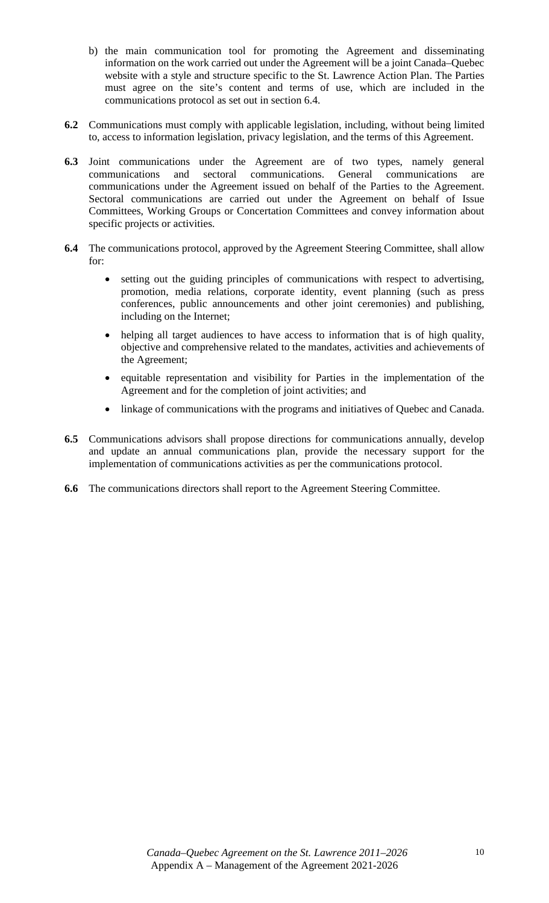- b) the main communication tool for promoting the Agreement and disseminating information on the work carried out under the Agreement will be a joint Canada–Quebec website with a style and structure specific to the St. Lawrence Action Plan. The Parties must agree on the site's content and terms of use, which are included in the communications protocol as set out in section 6.4.
- **6.2** Communications must comply with applicable legislation, including, without being limited to, access to information legislation, privacy legislation, and the terms of this Agreement.
- **6.3** Joint communications under the Agreement are of two types, namely general communications and sectoral communications. General communications are communications under the Agreement issued on behalf of the Parties to the Agreement. Sectoral communications are carried out under the Agreement on behalf of Issue Committees, Working Groups or Concertation Committees and convey information about specific projects or activities.
- **6.4** The communications protocol, approved by the Agreement Steering Committee, shall allow for:
	- setting out the guiding principles of communications with respect to advertising, promotion, media relations, corporate identity, event planning (such as press conferences, public announcements and other joint ceremonies) and publishing, including on the Internet;
	- helping all target audiences to have access to information that is of high quality, objective and comprehensive related to the mandates, activities and achievements of the Agreement;
	- equitable representation and visibility for Parties in the implementation of the Agreement and for the completion of joint activities; and
	- linkage of communications with the programs and initiatives of Quebec and Canada.
- **6.5** Communications advisors shall propose directions for communications annually, develop and update an annual communications plan, provide the necessary support for the implementation of communications activities as per the communications protocol.
- **6.6** The communications directors shall report to the Agreement Steering Committee.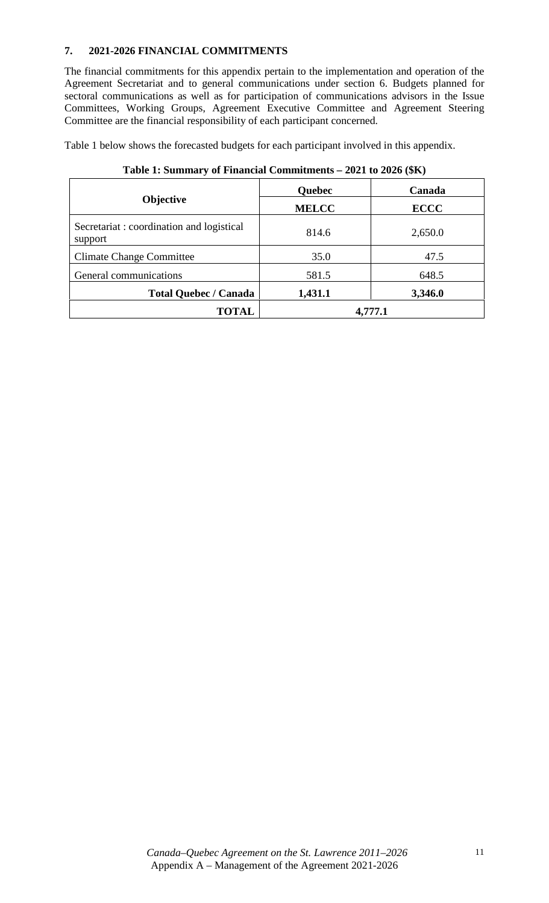## **7. 2021-2026 FINANCIAL COMMITMENTS**

The financial commitments for this appendix pertain to the implementation and operation of the Agreement Secretariat and to general communications under section 6. Budgets planned for sectoral communications as well as for participation of communications advisors in the Issue Committees, Working Groups, Agreement Executive Committee and Agreement Steering Committee are the financial responsibility of each participant concerned.

Table 1 below shows the forecasted budgets for each participant involved in this appendix.

|                                                     | Quebec       | Canada      |
|-----------------------------------------------------|--------------|-------------|
| <b>Objective</b>                                    | <b>MELCC</b> | <b>ECCC</b> |
| Secretariat: coordination and logistical<br>support | 814.6        | 2,650.0     |
| <b>Climate Change Committee</b>                     | 35.0         | 47.5        |
| General communications                              | 581.5        | 648.5       |
| <b>Total Quebec / Canada</b>                        | 1,431.1      | 3,346.0     |
| <b>TOTAL</b>                                        |              | 4,777.1     |

## **Table 1: Summary of Financial Commitments – 2021 to 2026 (\$K)**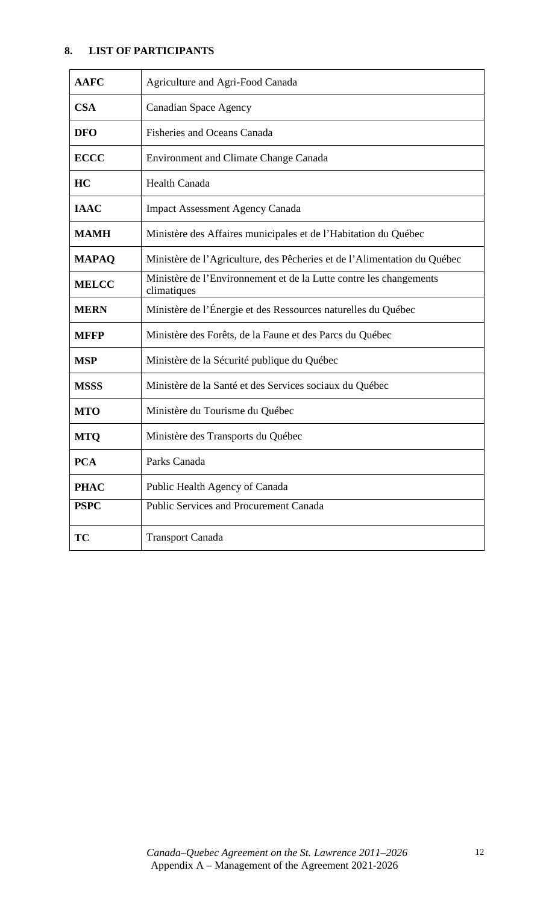# **8. LIST OF PARTICIPANTS**

| <b>AAFC</b>  | Agriculture and Agri-Food Canada                                                  |
|--------------|-----------------------------------------------------------------------------------|
| <b>CSA</b>   | <b>Canadian Space Agency</b>                                                      |
| <b>DFO</b>   | <b>Fisheries and Oceans Canada</b>                                                |
| <b>ECCC</b>  | Environment and Climate Change Canada                                             |
| HC           | <b>Health Canada</b>                                                              |
| <b>IAAC</b>  | <b>Impact Assessment Agency Canada</b>                                            |
| <b>MAMH</b>  | Ministère des Affaires municipales et de l'Habitation du Québec                   |
| <b>MAPAQ</b> | Ministère de l'Agriculture, des Pêcheries et de l'Alimentation du Québec          |
| <b>MELCC</b> | Ministère de l'Environnement et de la Lutte contre les changements<br>climatiques |
| <b>MERN</b>  | Ministère de l'Énergie et des Ressources naturelles du Québec                     |
| <b>MFFP</b>  | Ministère des Forêts, de la Faune et des Parcs du Québec                          |
| <b>MSP</b>   | Ministère de la Sécurité publique du Québec                                       |
| <b>MSSS</b>  | Ministère de la Santé et des Services sociaux du Québec                           |
| <b>MTO</b>   | Ministère du Tourisme du Québec                                                   |
| <b>MTQ</b>   | Ministère des Transports du Québec                                                |
| <b>PCA</b>   | Parks Canada                                                                      |
| <b>PHAC</b>  | Public Health Agency of Canada                                                    |
| <b>PSPC</b>  | <b>Public Services and Procurement Canada</b>                                     |
| <b>TC</b>    | <b>Transport Canada</b>                                                           |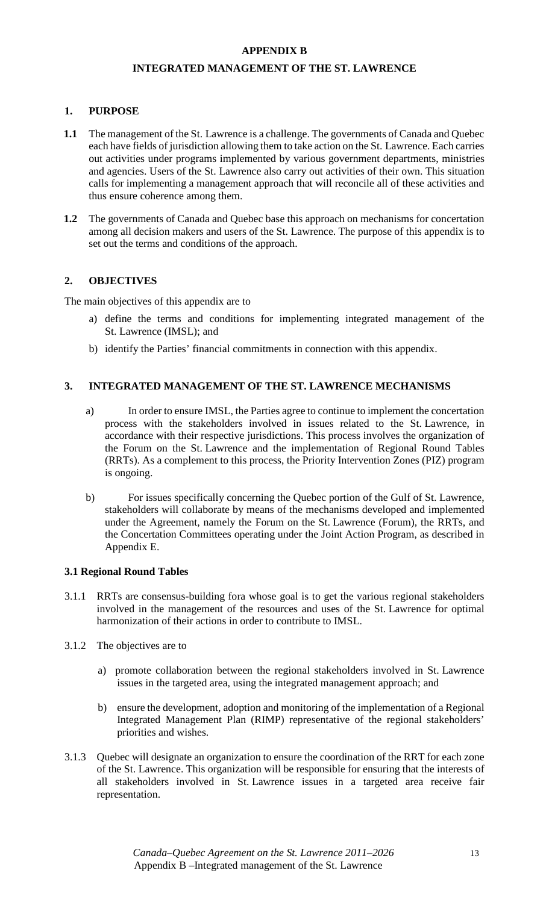### **APPENDIX B**

## **INTEGRATED MANAGEMENT OF THE ST. LAWRENCE**

## **1. PURPOSE**

- **1.1** The management of the St. Lawrence is a challenge. The governments of Canada and Quebec each have fields of jurisdiction allowing them to take action on the St. Lawrence. Each carries out activities under programs implemented by various government departments, ministries and agencies. Users of the St. Lawrence also carry out activities of their own. This situation calls for implementing a management approach that will reconcile all of these activities and thus ensure coherence among them.
- **1.2** The governments of Canada and Quebec base this approach on mechanisms for concertation among all decision makers and users of the St. Lawrence. The purpose of this appendix is to set out the terms and conditions of the approach.

## **2. OBJECTIVES**

The main objectives of this appendix are to

- a) define the terms and conditions for implementing integrated management of the St. Lawrence (IMSL); and
- b) identify the Parties' financial commitments in connection with this appendix.

## **3. INTEGRATED MANAGEMENT OF THE ST. LAWRENCE MECHANISMS**

- a) In order to ensure IMSL, the Parties agree to continue to implement the concertation process with the stakeholders involved in issues related to the St. Lawrence, in accordance with their respective jurisdictions. This process involves the organization of the Forum on the St. Lawrence and the implementation of Regional Round Tables (RRTs). As a complement to this process, the Priority Intervention Zones (PIZ) program is ongoing.
- b) For issues specifically concerning the Quebec portion of the Gulf of St. Lawrence, stakeholders will collaborate by means of the mechanisms developed and implemented under the Agreement, namely the Forum on the St. Lawrence (Forum), the RRTs, and the Concertation Committees operating under the Joint Action Program, as described in Appendix E.

## **3.1 Regional Round Tables**

- 3.1.1 RRTs are consensus-building fora whose goal is to get the various regional stakeholders involved in the management of the resources and uses of the St. Lawrence for optimal harmonization of their actions in order to contribute to IMSL.
- 3.1.2 The objectives are to
	- a) promote collaboration between the regional stakeholders involved in St. Lawrence issues in the targeted area, using the integrated management approach; and
	- b) ensure the development, adoption and monitoring of the implementation of a Regional Integrated Management Plan (RIMP) representative of the regional stakeholders' priorities and wishes.
- 3.1.3 Quebec will designate an organization to ensure the coordination of the RRT for each zone of the St. Lawrence. This organization will be responsible for ensuring that the interests of all stakeholders involved in St. Lawrence issues in a targeted area receive fair representation.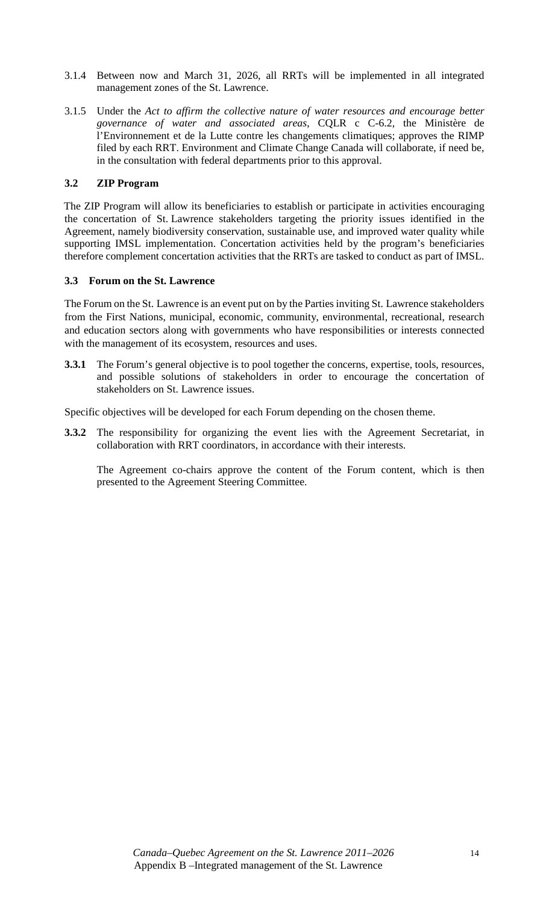- 3.1.4 Between now and March 31, 2026, all RRTs will be implemented in all integrated management zones of the St. Lawrence.
- 3.1.5 Under the *Act to affirm the collective nature of water resources and encourage better governance of water and associated areas*, CQLR c C-6.2, the Ministère de l'Environnement et de la Lutte contre les changements climatiques; approves the RIMP filed by each RRT. Environment and Climate Change Canada will collaborate, if need be, in the consultation with federal departments prior to this approval.

## **3.2 ZIP Program**

The ZIP Program will allow its beneficiaries to establish or participate in activities encouraging the concertation of St. Lawrence stakeholders targeting the priority issues identified in the Agreement, namely biodiversity conservation, sustainable use, and improved water quality while supporting IMSL implementation. Concertation activities held by the program's beneficiaries therefore complement concertation activities that the RRTs are tasked to conduct as part of IMSL.

## **3.3 Forum on the St. Lawrence**

The Forum on the St. Lawrence is an event put on by the Parties inviting St. Lawrence stakeholders from the First Nations, municipal, economic, community, environmental, recreational, research and education sectors along with governments who have responsibilities or interests connected with the management of its ecosystem, resources and uses.

**3.3.1** The Forum's general objective is to pool together the concerns, expertise, tools, resources, and possible solutions of stakeholders in order to encourage the concertation of stakeholders on St. Lawrence issues.

Specific objectives will be developed for each Forum depending on the chosen theme.

**3.3.2** The responsibility for organizing the event lies with the Agreement Secretariat, in collaboration with RRT coordinators, in accordance with their interests.

The Agreement co-chairs approve the content of the Forum content, which is then presented to the Agreement Steering Committee.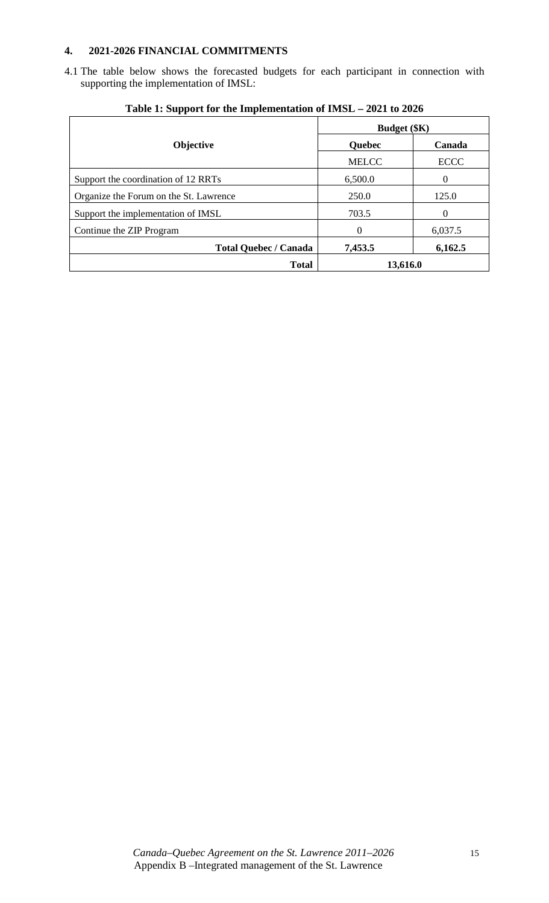## **4. 2021-2026 FINANCIAL COMMITMENTS**

4.1 The table below shows the forecasted budgets for each participant in connection with supporting the implementation of IMSL:

|                                        | <b>Budget</b> (\$K) |             |  |  |
|----------------------------------------|---------------------|-------------|--|--|
| <b>Objective</b>                       | Quebec              | Canada      |  |  |
|                                        | <b>MELCC</b>        | <b>ECCC</b> |  |  |
| Support the coordination of 12 RRTs    | 6,500.0             | $\Omega$    |  |  |
| Organize the Forum on the St. Lawrence | 250.0               | 125.0       |  |  |
| Support the implementation of IMSL     | 703.5               | $\Omega$    |  |  |
| Continue the ZIP Program               | $\Omega$            | 6,037.5     |  |  |
| <b>Total Quebec / Canada</b>           | 7,453.5             | 6,162.5     |  |  |
| <b>Total</b>                           | 13,616.0            |             |  |  |

**Table 1: Support for the Implementation of IMSL – 2021 to 2026**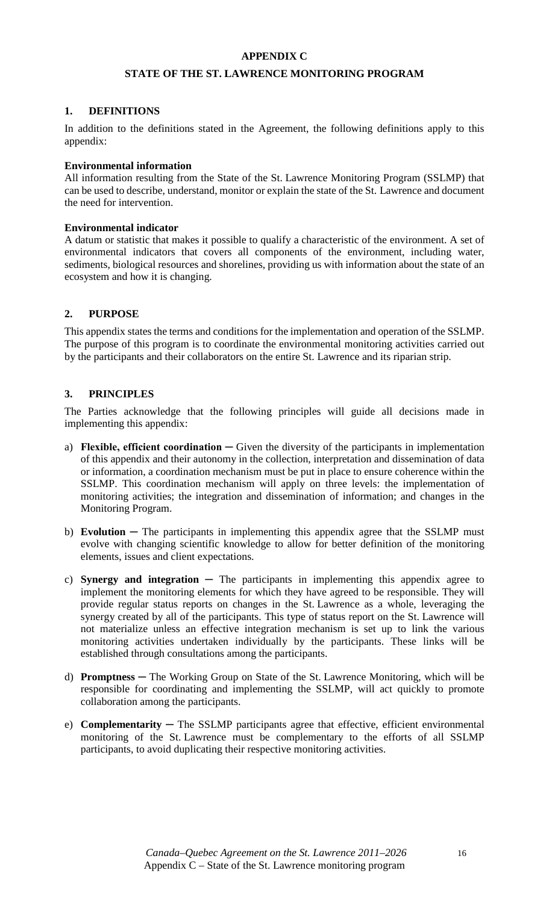## **APPENDIX C**

## **STATE OF THE ST. LAWRENCE MONITORING PROGRAM**

## **1. DEFINITIONS**

In addition to the definitions stated in the Agreement, the following definitions apply to this appendix:

#### **Environmental information**

All information resulting from the State of the St. Lawrence Monitoring Program (SSLMP) that can be used to describe, understand, monitor or explain the state of the St. Lawrence and document the need for intervention.

## **Environmental indicator**

A datum or statistic that makes it possible to qualify a characteristic of the environment. A set of environmental indicators that covers all components of the environment, including water, sediments, biological resources and shorelines, providing us with information about the state of an ecosystem and how it is changing.

#### **2. PURPOSE**

This appendix states the terms and conditions for the implementation and operation of the SSLMP. The purpose of this program is to coordinate the environmental monitoring activities carried out by the participants and their collaborators on the entire St. Lawrence and its riparian strip.

## **3. PRINCIPLES**

The Parties acknowledge that the following principles will guide all decisions made in implementing this appendix:

- a) **Flexible, efficient coordination ─** Given the diversity of the participants in implementation of this appendix and their autonomy in the collection, interpretation and dissemination of data or information, a coordination mechanism must be put in place to ensure coherence within the SSLMP. This coordination mechanism will apply on three levels: the implementation of monitoring activities; the integration and dissemination of information; and changes in the Monitoring Program.
- b) **Evolution ─** The participants in implementing this appendix agree that the SSLMP must evolve with changing scientific knowledge to allow for better definition of the monitoring elements, issues and client expectations.
- c) **Synergy and integration ─** The participants in implementing this appendix agree to implement the monitoring elements for which they have agreed to be responsible. They will provide regular status reports on changes in the St. Lawrence as a whole, leveraging the synergy created by all of the participants. This type of status report on the St. Lawrence will not materialize unless an effective integration mechanism is set up to link the various monitoring activities undertaken individually by the participants. These links will be established through consultations among the participants.
- d) **Promptness ─** The Working Group on State of the St. Lawrence Monitoring, which will be responsible for coordinating and implementing the SSLMP, will act quickly to promote collaboration among the participants.
- e) **Complementarity ─** The SSLMP participants agree that effective, efficient environmental monitoring of the St. Lawrence must be complementary to the efforts of all SSLMP participants, to avoid duplicating their respective monitoring activities.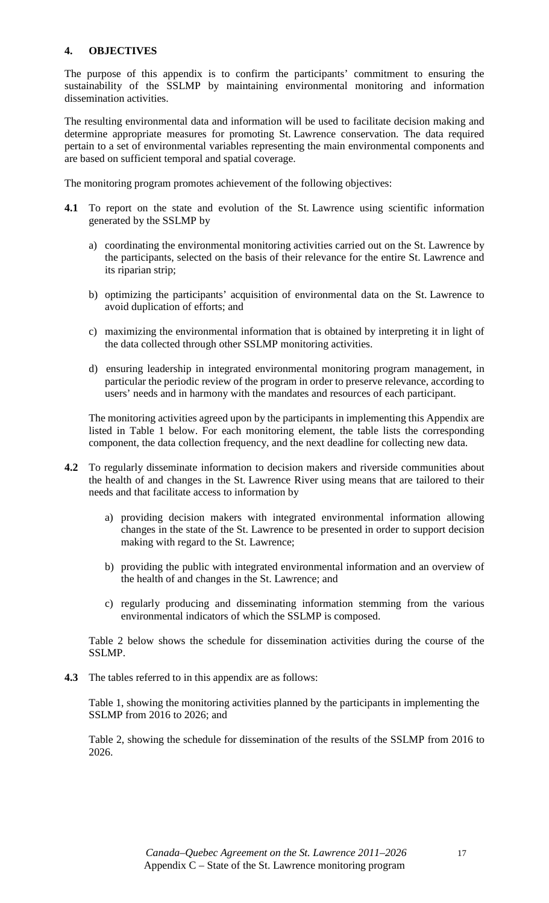## **4. OBJECTIVES**

The purpose of this appendix is to confirm the participants' commitment to ensuring the sustainability of the SSLMP by maintaining environmental monitoring and information dissemination activities.

The resulting environmental data and information will be used to facilitate decision making and determine appropriate measures for promoting St. Lawrence conservation. The data required pertain to a set of environmental variables representing the main environmental components and are based on sufficient temporal and spatial coverage.

The monitoring program promotes achievement of the following objectives:

- **4.1** To report on the state and evolution of the St. Lawrence using scientific information generated by the SSLMP by
	- a) coordinating the environmental monitoring activities carried out on the St. Lawrence by the participants, selected on the basis of their relevance for the entire St. Lawrence and its riparian strip;
	- b) optimizing the participants' acquisition of environmental data on the St. Lawrence to avoid duplication of efforts; and
	- c) maximizing the environmental information that is obtained by interpreting it in light of the data collected through other SSLMP monitoring activities.
	- d) ensuring leadership in integrated environmental monitoring program management, in particular the periodic review of the program in order to preserve relevance, according to users' needs and in harmony with the mandates and resources of each participant.

The monitoring activities agreed upon by the participants in implementing this Appendix are listed in Table 1 below. For each monitoring element, the table lists the corresponding component, the data collection frequency, and the next deadline for collecting new data.

- **4.2** To regularly disseminate information to decision makers and riverside communities about the health of and changes in the St. Lawrence River using means that are tailored to their needs and that facilitate access to information by
	- a) providing decision makers with integrated environmental information allowing changes in the state of the St. Lawrence to be presented in order to support decision making with regard to the St. Lawrence;
	- b) providing the public with integrated environmental information and an overview of the health of and changes in the St. Lawrence; and
	- c) regularly producing and disseminating information stemming from the various environmental indicators of which the SSLMP is composed.

Table 2 below shows the schedule for dissemination activities during the course of the SSLMP.

**4.3** The tables referred to in this appendix are as follows:

Table 1, showing the monitoring activities planned by the participants in implementing the SSLMP from 2016 to 2026; and

Table 2, showing the schedule for dissemination of the results of the SSLMP from 2016 to 2026.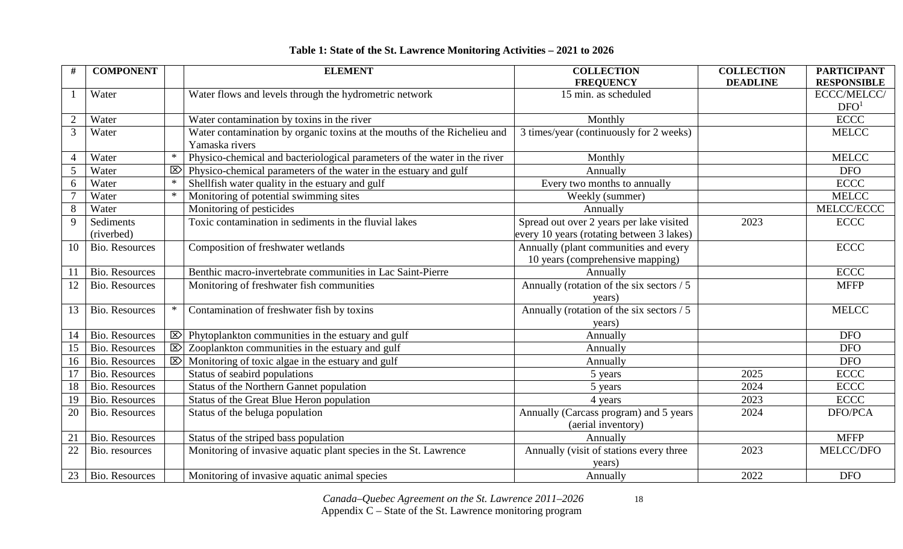|  | Table 1: State of the St. Lawrence Monitoring Activities – 2021 to 2026 |
|--|-------------------------------------------------------------------------|
|  |                                                                         |

| $\#$            | <b>COMPONENT</b>        |              | <b>ELEMENT</b>                                                                             | <b>COLLECTION</b>                                                                     | <b>COLLECTION</b> | <b>PARTICIPANT</b> |
|-----------------|-------------------------|--------------|--------------------------------------------------------------------------------------------|---------------------------------------------------------------------------------------|-------------------|--------------------|
|                 |                         |              |                                                                                            | <b>FREQUENCY</b>                                                                      | <b>DEADLINE</b>   | <b>RESPONSIBLE</b> |
|                 | Water                   |              | Water flows and levels through the hydrometric network                                     | 15 min. as scheduled                                                                  |                   | ECCC/MELCC/        |
|                 |                         |              |                                                                                            |                                                                                       |                   | DFO <sup>1</sup>   |
| $\overline{2}$  | Water                   |              | Water contamination by toxins in the river                                                 | Monthly                                                                               |                   | <b>ECCC</b>        |
| $\overline{3}$  | Water                   |              | Water contamination by organic toxins at the mouths of the Richelieu and<br>Yamaska rivers | 3 times/year (continuously for 2 weeks)                                               |                   | <b>MELCC</b>       |
| $\overline{4}$  | Water                   | $\ast$       | Physico-chemical and bacteriological parameters of the water in the river                  | Monthly                                                                               |                   | <b>MELCC</b>       |
| $5\overline{)}$ | Water                   | $\mathbb{Z}$ | Physico-chemical parameters of the water in the estuary and gulf                           | Annually                                                                              |                   | <b>DFO</b>         |
| 6               | Water                   |              | Shellfish water quality in the estuary and gulf                                            | Every two months to annually                                                          |                   | <b>ECCC</b>        |
|                 | Water                   |              | Monitoring of potential swimming sites                                                     | Weekly (summer)                                                                       |                   | <b>MELCC</b>       |
| $8\,$           | Water                   |              | Monitoring of pesticides                                                                   | Annually                                                                              |                   | MELCC/ECCC         |
| 9               | Sediments<br>(riverbed) |              | Toxic contamination in sediments in the fluvial lakes                                      | Spread out over 2 years per lake visited<br>every 10 years (rotating between 3 lakes) | 2023              | <b>ECCC</b>        |
| 10              | <b>Bio. Resources</b>   |              | Composition of freshwater wetlands                                                         | Annually (plant communities and every<br>10 years (comprehensive mapping)             |                   | <b>ECCC</b>        |
| 11              | <b>Bio. Resources</b>   |              | Benthic macro-invertebrate communities in Lac Saint-Pierre                                 | Annually                                                                              |                   | <b>ECCC</b>        |
| 12              | <b>Bio. Resources</b>   |              | Monitoring of freshwater fish communities                                                  | Annually (rotation of the six sectors / 5                                             |                   | <b>MFFP</b>        |
|                 |                         |              |                                                                                            | years)                                                                                |                   |                    |
| 13              | <b>Bio. Resources</b>   | $\ast$       | Contamination of freshwater fish by toxins                                                 | Annually (rotation of the six sectors / 5                                             |                   | <b>MELCC</b>       |
|                 |                         |              |                                                                                            | years)                                                                                |                   |                    |
| 14              | <b>Bio. Resources</b>   | $\mathbb{Z}$ | Phytoplankton communities in the estuary and gulf                                          | Annually                                                                              |                   | <b>DFO</b>         |
| 15              | <b>Bio. Resources</b>   | $\mathbb{Z}$ | Zooplankton communities in the estuary and gulf                                            | Annually                                                                              |                   | <b>DFO</b>         |
| 16              | <b>Bio. Resources</b>   | $\mathbb{E}$ | Monitoring of toxic algae in the estuary and gulf                                          | Annually                                                                              |                   | <b>DFO</b>         |
| 17              | <b>Bio. Resources</b>   |              | Status of seabird populations                                                              | 5 years                                                                               | 2025              | <b>ECCC</b>        |
| 18              | <b>Bio. Resources</b>   |              | Status of the Northern Gannet population                                                   | 5 years                                                                               | 2024              | <b>ECCC</b>        |
| 19              | <b>Bio. Resources</b>   |              | Status of the Great Blue Heron population                                                  | 4 years                                                                               | 2023              | <b>ECCC</b>        |
| 20              | <b>Bio. Resources</b>   |              | Status of the beluga population                                                            | Annually (Carcass program) and 5 years                                                | 2024              | DFO/PCA            |
|                 |                         |              |                                                                                            | (aerial inventory)                                                                    |                   |                    |
| 21              | <b>Bio. Resources</b>   |              | Status of the striped bass population                                                      | Annually                                                                              |                   | <b>MFFP</b>        |
| $22\,$          | Bio. resources          |              | Monitoring of invasive aquatic plant species in the St. Lawrence                           | Annually (visit of stations every three                                               | 2023              | MELCC/DFO          |
|                 |                         |              |                                                                                            | years)                                                                                |                   |                    |
| 23              | <b>Bio. Resources</b>   |              | Monitoring of invasive aquatic animal species                                              | Annually                                                                              | 2022              | <b>DFO</b>         |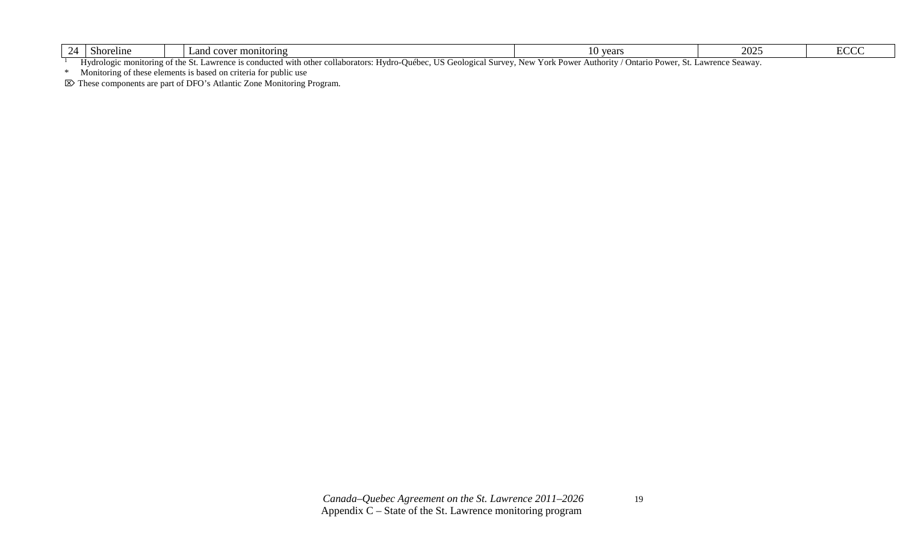| oreline<br>5no                                                                                                                                                                                                                                                                                  | and<br>onitoring.<br>COVE | 71001<br>.<br>vu | $\sim$ $\sim$ $\sim$<br>$\Delta U \Delta v$ | ╶<br>- |  |
|-------------------------------------------------------------------------------------------------------------------------------------------------------------------------------------------------------------------------------------------------------------------------------------------------|---------------------------|------------------|---------------------------------------------|--------|--|
| --<br>Hydrologie.<br>Informc<br>t with other collaboratoi<br>e monitoring of the Nt<br>$H$ vdrc<br>$q$ uranca<br>$\sum_{i=1}^{n}$<br>Seauav<br>$\alpha$ n<br>اومسماموذا د<br>2011221<br>ATITQ<br>∩rl<br>பet≙<br>$\mu$ 14686.<br>$P_{\text{OML}}$<br>$\Lambda$ uthorut<br><br>1C<br>$\mathbf{r}$ |                           |                  |                                             |        |  |

Hydrologic monitoring of the St. Lawrence is conducted with other collaborators: Hydro-Québec, US Geological Survey, New York Power Authority / Ontario Power, St. Lawrence Seaway.

\* Monitoring of these elements is based on criteria for public use

These components are part of DFO's Atlantic Zone Monitoring Program.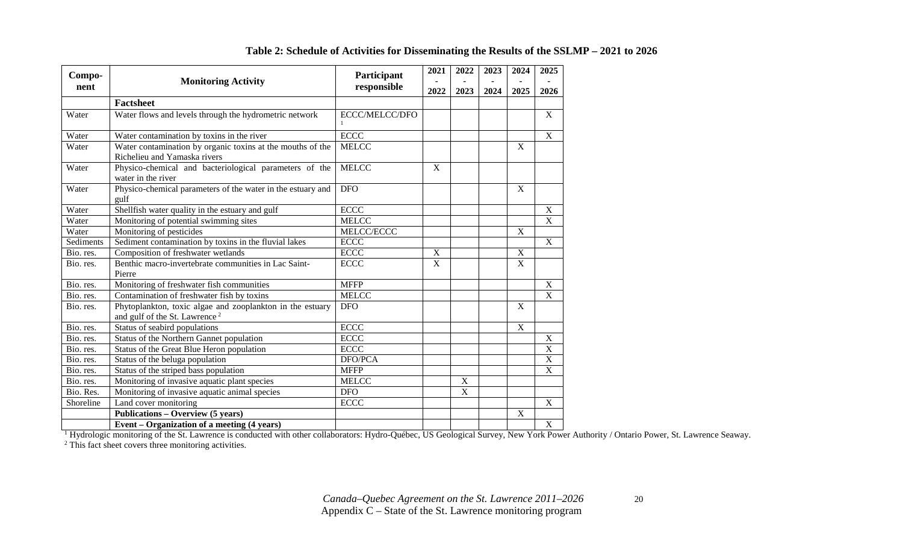| Compo-    | Participant<br><b>Monitoring Activity</b>                                                              |                | 2021           | 2022        | 2023 | 2024           | 2025                  |
|-----------|--------------------------------------------------------------------------------------------------------|----------------|----------------|-------------|------|----------------|-----------------------|
| nent      |                                                                                                        | responsible    | 2022           | 2023        | 2024 | 2025           | 2026                  |
|           | <b>Factsheet</b>                                                                                       |                |                |             |      |                |                       |
| Water     | Water flows and levels through the hydrometric network                                                 | ECCC/MELCC/DFO |                |             |      |                | $\mathbf X$           |
| Water     | Water contamination by toxins in the river                                                             | <b>ECCC</b>    |                |             |      |                | $\overline{X}$        |
| Water     | Water contamination by organic toxins at the mouths of the<br>Richelieu and Yamaska rivers             | <b>MELCC</b>   |                |             |      | X              |                       |
| Water     | Physico-chemical and bacteriological parameters of the<br>water in the river                           | <b>MELCC</b>   | X              |             |      |                |                       |
| Water     | Physico-chemical parameters of the water in the estuary and<br>gulf                                    | <b>DFO</b>     |                |             |      | $\mathbf X$    |                       |
| Water     | Shellfish water quality in the estuary and gulf                                                        | <b>ECCC</b>    |                |             |      |                | $\mathbf X$           |
| Water     | Monitoring of potential swimming sites                                                                 | <b>MELCC</b>   |                |             |      |                | $\mathbf X$           |
| Water     | Monitoring of pesticides                                                                               | MELCC/ECCC     |                |             |      | $\overline{X}$ |                       |
| Sediments | Sediment contamination by toxins in the fluvial lakes                                                  | ECCC           |                |             |      |                | $\overline{X}$        |
| Bio. res. | Composition of freshwater wetlands                                                                     | <b>ECCC</b>    | $\mathbf X$    |             |      | X              |                       |
| Bio. res. | Benthic macro-invertebrate communities in Lac Saint-<br>Pierre                                         | <b>ECCC</b>    | $\overline{X}$ |             |      | $\mathbf X$    |                       |
| Bio. res. | Monitoring of freshwater fish communities                                                              | <b>MFFP</b>    |                |             |      |                | X                     |
| Bio. res. | Contamination of freshwater fish by toxins                                                             | <b>MELCC</b>   |                |             |      |                | $\overline{X}$        |
| Bio. res. | Phytoplankton, toxic algae and zooplankton in the estuary<br>and gulf of the St. Lawrence <sup>2</sup> | <b>DFO</b>     |                |             |      | $\mathbf X$    |                       |
| Bio. res. | Status of seabird populations                                                                          | <b>ECCC</b>    |                |             |      | $\mathbf X$    |                       |
| Bio. res. | Status of the Northern Gannet population                                                               | <b>ECCC</b>    |                |             |      |                | $\mathbf X$           |
| Bio. res. | Status of the Great Blue Heron population                                                              | <b>ECCC</b>    |                |             |      |                | $\overline{\text{X}}$ |
| Bio. res. | Status of the beluga population                                                                        | DFO/PCA        |                |             |      |                | $\overline{\text{X}}$ |
| Bio. res. | Status of the striped bass population                                                                  | <b>MFFP</b>    |                |             |      |                | $\overline{\text{X}}$ |
| Bio. res. | Monitoring of invasive aquatic plant species                                                           | <b>MELCC</b>   |                | $\mathbf X$ |      |                |                       |
| Bio. Res. | Monitoring of invasive aquatic animal species                                                          | <b>DFO</b>     |                | $\mathbf X$ |      |                |                       |
| Shoreline | Land cover monitoring                                                                                  | <b>ECCC</b>    |                |             |      |                | $\mathbf X$           |
|           | Publications - Overview (5 years)                                                                      |                |                |             |      | X              |                       |
|           | Event – Organization of a meeting (4 years)                                                            |                |                |             |      |                | X                     |

## **Table 2: Schedule of Activities for Disseminating the Results of the SSLMP – 2021 to 2026**

**Event – Organization of a meeting (4 years)**<br><sup>1</sup> Hydrologic monitoring of the St. Lawrence is conducted with other collaborators: Hydro-Québec, US Geological Survey, New York Power Authority / Ontario Power, St. Lawrence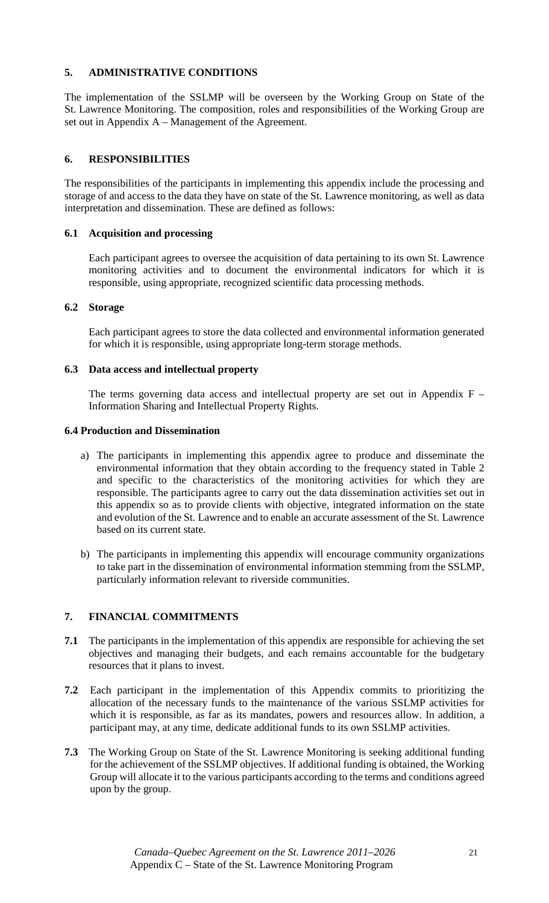## **5. ADMINISTRATIVE CONDITIONS**

The implementation of the SSLMP will be overseen by the Working Group on State of the St. Lawrence Monitoring. The composition, roles and responsibilities of the Working Group are set out in Appendix A – Management of the Agreement.

## **6. RESPONSIBILITIES**

The responsibilities of the participants in implementing this appendix include the processing and storage of and access to the data they have on state of the St. Lawrence monitoring, as well as data interpretation and dissemination. These are defined as follows:

## **6.1 Acquisition and processing**

Each participant agrees to oversee the acquisition of data pertaining to its own St. Lawrence monitoring activities and to document the environmental indicators for which it is responsible, using appropriate, recognized scientific data processing methods.

## **6.2 Storage**

Each participant agrees to store the data collected and environmental information generated for which it is responsible, using appropriate long-term storage methods.

## **6.3 Data access and intellectual property**

The terms governing data access and intellectual property are set out in Appendix  $F -$ Information Sharing and Intellectual Property Rights.

## **6.4 Production and Dissemination**

- a) The participants in implementing this appendix agree to produce and disseminate the environmental information that they obtain according to the frequency stated in Table 2 and specific to the characteristics of the monitoring activities for which they are responsible. The participants agree to carry out the data dissemination activities set out in this appendix so as to provide clients with objective, integrated information on the state and evolution of the St. Lawrence and to enable an accurate assessment of the St. Lawrence based on its current state.
- b) The participants in implementing this appendix will encourage community organizations to take part in the dissemination of environmental information stemming from the SSLMP, particularly information relevant to riverside communities.

## **7. FINANCIAL COMMITMENTS**

- **7.1** The participants in the implementation of this appendix are responsible for achieving the set objectives and managing their budgets, and each remains accountable for the budgetary resources that it plans to invest.
- **7.2** Each participant in the implementation of this Appendix commits to prioritizing the allocation of the necessary funds to the maintenance of the various SSLMP activities for which it is responsible, as far as its mandates, powers and resources allow. In addition, a participant may, at any time, dedicate additional funds to its own SSLMP activities.
- **7.3** The Working Group on State of the St. Lawrence Monitoring is seeking additional funding for the achievement of the SSLMP objectives. If additional funding is obtained, the Working Group will allocate it to the various participants according to the terms and conditions agreed upon by the group.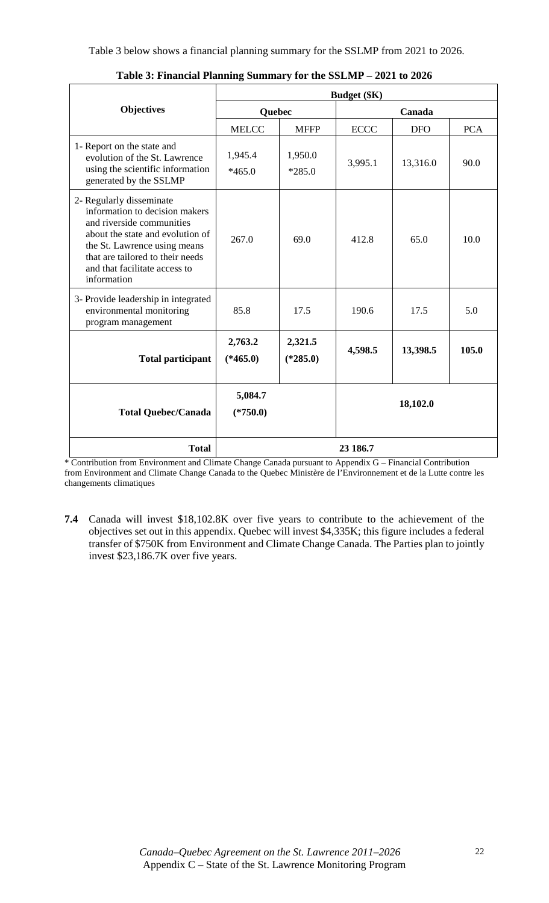|                                                                                                                                                                                                                                                 | <b>Budget</b> (\$K)   |                       |             |            |            |  |
|-------------------------------------------------------------------------------------------------------------------------------------------------------------------------------------------------------------------------------------------------|-----------------------|-----------------------|-------------|------------|------------|--|
| <b>Objectives</b>                                                                                                                                                                                                                               | Quebec                |                       |             |            |            |  |
|                                                                                                                                                                                                                                                 | <b>MELCC</b>          | <b>MFFP</b>           | <b>ECCC</b> | <b>DFO</b> | <b>PCA</b> |  |
| 1- Report on the state and<br>evolution of the St. Lawrence<br>using the scientific information<br>generated by the SSLMP                                                                                                                       | 1,945.4<br>$*465.0$   | 1,950.0<br>$*285.0$   | 3,995.1     | 13,316.0   | 90.0       |  |
| 2- Regularly disseminate<br>information to decision makers<br>and riverside communities<br>about the state and evolution of<br>the St. Lawrence using means<br>that are tailored to their needs<br>and that facilitate access to<br>information | 267.0                 | 69.0                  | 412.8       | 65.0       | 10.0       |  |
| 3- Provide leadership in integrated<br>environmental monitoring<br>program management                                                                                                                                                           | 85.8                  | 17.5                  | 190.6       | 17.5       | 5.0        |  |
| <b>Total participant</b>                                                                                                                                                                                                                        | 2,763.2<br>$(*465.0)$ | 2,321.5<br>$(*285.0)$ | 4,598.5     | 13,398.5   | 105.0      |  |
| <b>Total Quebec/Canada</b>                                                                                                                                                                                                                      | 5,084.7<br>$(*750.0)$ |                       |             | 18,102.0   |            |  |
| <b>Total</b>                                                                                                                                                                                                                                    |                       |                       | 23 186.7    |            |            |  |

**Table 3: Financial Planning Summary for the SSLMP – 2021 to 2026** 

\* Contribution from Environment and Climate Change Canada pursuant to Appendix G – Financial Contribution from Environment and Climate Change Canada to the Quebec Ministère de l'Environnement et de la Lutte contre les changements climatiques

**7.4** Canada will invest \$18,102.8K over five years to contribute to the achievement of the objectives set out in this appendix. Quebec will invest \$4,335K; this figure includes a federal transfer of \$750K from Environment and Climate Change Canada. The Parties plan to jointly invest \$23,186.7K over five years.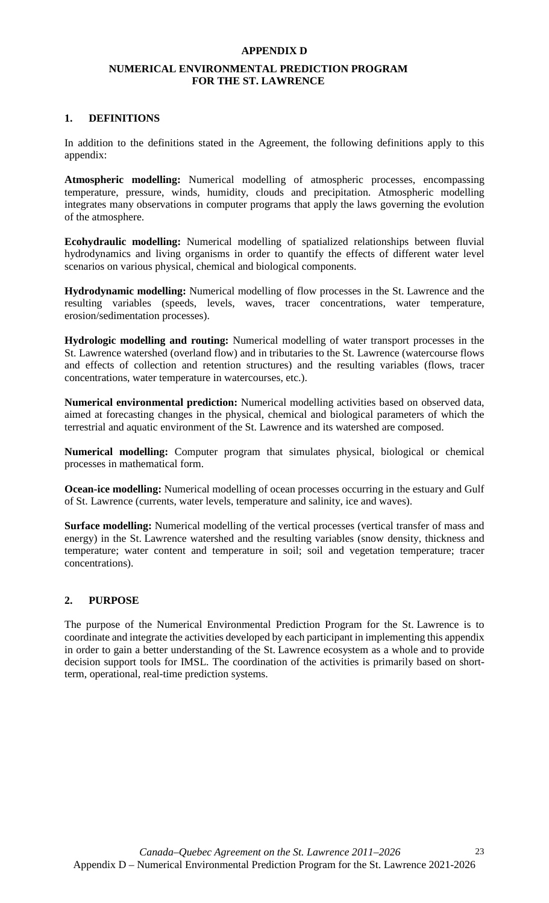#### **APPENDIX D**

## **NUMERICAL ENVIRONMENTAL PREDICTION PROGRAM FOR THE ST. LAWRENCE**

#### **1. DEFINITIONS**

In addition to the definitions stated in the Agreement, the following definitions apply to this appendix:

**Atmospheric modelling:** Numerical modelling of atmospheric processes, encompassing temperature, pressure, winds, humidity, clouds and precipitation. Atmospheric modelling integrates many observations in computer programs that apply the laws governing the evolution of the atmosphere.

**Ecohydraulic modelling:** Numerical modelling of spatialized relationships between fluvial hydrodynamics and living organisms in order to quantify the effects of different water level scenarios on various physical, chemical and biological components.

**Hydrodynamic modelling:** Numerical modelling of flow processes in the St. Lawrence and the resulting variables (speeds, levels, waves, tracer concentrations, water temperature, erosion/sedimentation processes).

**Hydrologic modelling and routing:** Numerical modelling of water transport processes in the St. Lawrence watershed (overland flow) and in tributaries to the St. Lawrence (watercourse flows and effects of collection and retention structures) and the resulting variables (flows, tracer concentrations, water temperature in watercourses, etc.).

**Numerical environmental prediction:** Numerical modelling activities based on observed data, aimed at forecasting changes in the physical, chemical and biological parameters of which the terrestrial and aquatic environment of the St. Lawrence and its watershed are composed.

**Numerical modelling:** Computer program that simulates physical, biological or chemical processes in mathematical form.

**Ocean-ice modelling:** Numerical modelling of ocean processes occurring in the estuary and Gulf of St. Lawrence (currents, water levels, temperature and salinity, ice and waves).

**Surface modelling:** Numerical modelling of the vertical processes (vertical transfer of mass and energy) in the St. Lawrence watershed and the resulting variables (snow density, thickness and temperature; water content and temperature in soil; soil and vegetation temperature; tracer concentrations).

## **2. PURPOSE**

The purpose of the Numerical Environmental Prediction Program for the St. Lawrence is to coordinate and integrate the activities developed by each participant in implementing this appendix in order to gain a better understanding of the St. Lawrence ecosystem as a whole and to provide decision support tools for IMSL. The coordination of the activities is primarily based on shortterm, operational, real-time prediction systems.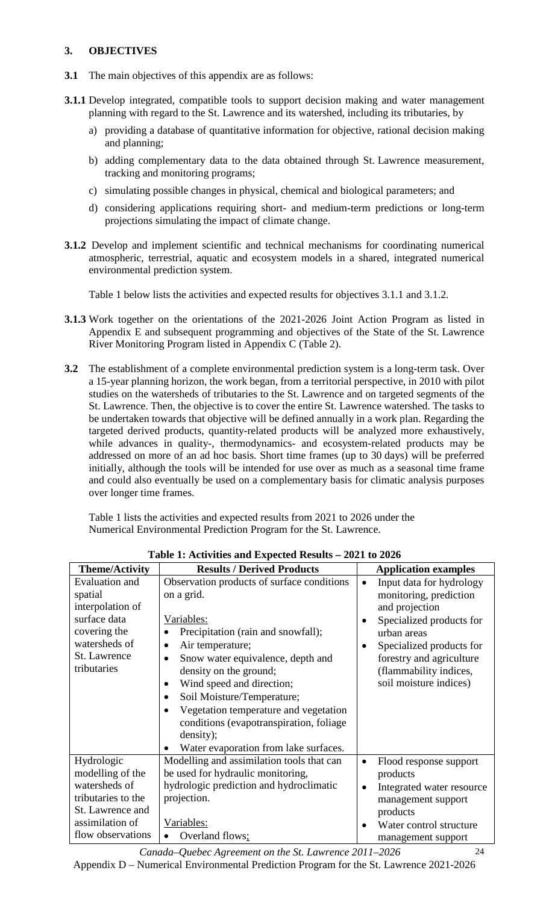## **3. OBJECTIVES**

- **3.1** The main objectives of this appendix are as follows:
- **3.1.1** Develop integrated, compatible tools to support decision making and water management planning with regard to the St. Lawrence and its watershed, including its tributaries, by
	- a) providing a database of quantitative information for objective, rational decision making and planning;
	- b) adding complementary data to the data obtained through St. Lawrence measurement, tracking and monitoring programs;
	- c) simulating possible changes in physical, chemical and biological parameters; and
	- d) considering applications requiring short- and medium-term predictions or long-term projections simulating the impact of climate change.
- **3.1.2** Develop and implement scientific and technical mechanisms for coordinating numerical atmospheric, terrestrial, aquatic and ecosystem models in a shared, integrated numerical environmental prediction system.

Table 1 below lists the activities and expected results for objectives 3.1.1 and 3.1.2.

- **3.1.3** Work together on the orientations of the 2021-2026 Joint Action Program as listed in Appendix E and subsequent programming and objectives of the State of the St. Lawrence River Monitoring Program listed in Appendix C (Table 2).
- **3.2** The establishment of a complete environmental prediction system is a long-term task. Over a 15-year planning horizon, the work began, from a territorial perspective, in 2010 with pilot studies on the watersheds of tributaries to the St. Lawrence and on targeted segments of the St. Lawrence. Then, the objective is to cover the entire St. Lawrence watershed. The tasks to be undertaken towards that objective will be defined annually in a work plan. Regarding the targeted derived products, quantity-related products will be analyzed more exhaustively, while advances in quality-, thermodynamics- and ecosystem-related products may be addressed on more of an ad hoc basis. Short time frames (up to 30 days) will be preferred initially, although the tools will be intended for use over as much as a seasonal time frame and could also eventually be used on a complementary basis for climatic analysis purposes over longer time frames.

Table 1 lists the activities and expected results from 2021 to 2026 under the Numerical Environmental Prediction Program for the St. Lawrence.

| <b>Theme/Activity</b> | <b>Results / Derived Products</b>          | <b>Application examples</b>            |
|-----------------------|--------------------------------------------|----------------------------------------|
| <b>Evaluation</b> and | Observation products of surface conditions | Input data for hydrology<br>$\bullet$  |
| spatial               | on a grid.                                 | monitoring, prediction                 |
| interpolation of      |                                            | and projection                         |
| surface data          | Variables:                                 | Specialized products for<br>$\bullet$  |
| covering the          | Precipitation (rain and snowfall);         | urban areas                            |
| watersheds of         | Air temperature;                           | Specialized products for               |
| St. Lawrence          | Snow water equivalence, depth and          | forestry and agriculture               |
| tributaries           | density on the ground;                     | (flammability indices,                 |
|                       | Wind speed and direction;                  | soil moisture indices)                 |
|                       | Soil Moisture/Temperature;                 |                                        |
|                       | Vegetation temperature and vegetation      |                                        |
|                       | conditions (evapotranspiration, foliage    |                                        |
|                       | density);                                  |                                        |
|                       | Water evaporation from lake surfaces.      |                                        |
| Hydrologic            | Modelling and assimilation tools that can  | Flood response support<br>$\bullet$    |
| modelling of the      | be used for hydraulic monitoring,          | products                               |
| watersheds of         | hydrologic prediction and hydroclimatic    | Integrated water resource<br>$\bullet$ |
| tributaries to the    | projection.                                | management support                     |
| St. Lawrence and      |                                            | products                               |
| assimilation of       | Variables:                                 | Water control structure                |
| flow observations     | Overland flows;                            | management support                     |

**Table 1: Activities and Expected Results – 2021 to 2026** 

*Canada–Quebec Agreement on the St. Lawrence 2011–2026*  Appendix D – Numerical Environmental Prediction Program for the St. Lawrence 2021-2026

24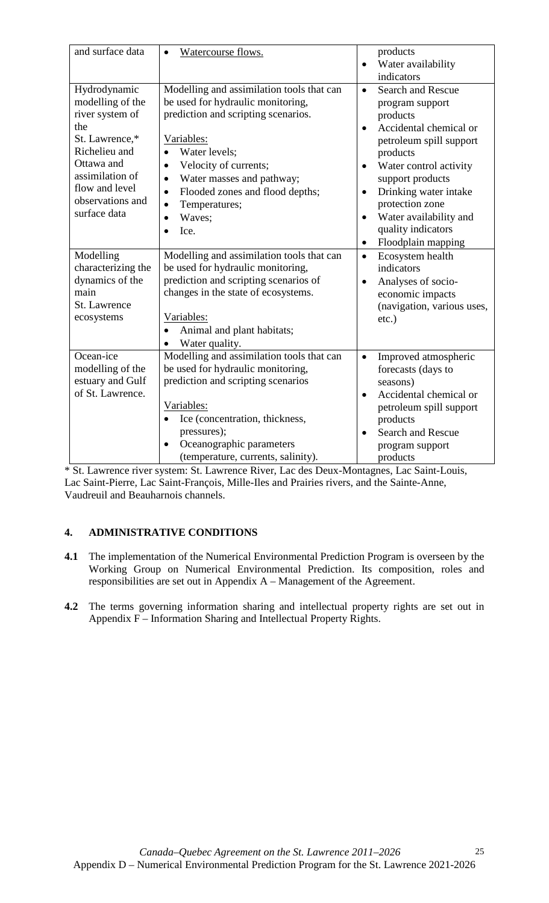| and surface data                                                                                                                                                                     | Watercourse flows.                                                                                                                                                                                                                                                                                                                   | products<br>Water availability<br>$\bullet$                                                                                                                                                                                                                                                                                                       |
|--------------------------------------------------------------------------------------------------------------------------------------------------------------------------------------|--------------------------------------------------------------------------------------------------------------------------------------------------------------------------------------------------------------------------------------------------------------------------------------------------------------------------------------|---------------------------------------------------------------------------------------------------------------------------------------------------------------------------------------------------------------------------------------------------------------------------------------------------------------------------------------------------|
| Hydrodynamic<br>modelling of the<br>river system of<br>the<br>St. Lawrence,*<br>Richelieu and<br>Ottawa and<br>assimilation of<br>flow and level<br>observations and<br>surface data | Modelling and assimilation tools that can<br>be used for hydraulic monitoring,<br>prediction and scripting scenarios.<br>Variables:<br>Water levels;<br>Velocity of currents;<br>$\bullet$<br>Water masses and pathway;<br>$\bullet$<br>Flooded zones and flood depths;<br>$\bullet$<br>Temperatures;<br>$\bullet$<br>Waves;<br>Ice. | indicators<br><b>Search and Rescue</b><br>$\bullet$<br>program support<br>products<br>Accidental chemical or<br>$\bullet$<br>petroleum spill support<br>products<br>Water control activity<br>$\bullet$<br>support products<br>Drinking water intake<br>$\bullet$<br>protection zone<br>Water availability and<br>$\bullet$<br>quality indicators |
| Modelling<br>characterizing the<br>dynamics of the<br>main<br>St. Lawrence<br>ecosystems                                                                                             | Modelling and assimilation tools that can<br>be used for hydraulic monitoring,<br>prediction and scripting scenarios of<br>changes in the state of ecosystems.<br>Variables:<br>Animal and plant habitats;<br>Water quality.                                                                                                         | Floodplain mapping<br>$\bullet$<br>Ecosystem health<br>$\bullet$<br>indicators<br>Analyses of socio-<br>$\bullet$<br>economic impacts<br>(navigation, various uses,<br>$etc.$ )                                                                                                                                                                   |
| Ocean-ice<br>modelling of the<br>estuary and Gulf<br>of St. Lawrence.                                                                                                                | Modelling and assimilation tools that can<br>be used for hydraulic monitoring,<br>prediction and scripting scenarios<br>Variables:<br>Ice (concentration, thickness,<br>$\bullet$<br>pressures);<br>Oceanographic parameters<br>(temperature, currents, salinity).                                                                   | Improved atmospheric<br>$\bullet$<br>forecasts (days to<br>seasons)<br>Accidental chemical or<br>$\bullet$<br>petroleum spill support<br>products<br>Search and Rescue<br>$\bullet$<br>program support<br>products                                                                                                                                |

\* St. Lawrence river system: St. Lawrence River, Lac des Deux-Montagnes, Lac Saint-Louis, Lac Saint-Pierre, Lac Saint-François, Mille-Iles and Prairies rivers, and the Sainte-Anne, Vaudreuil and Beauharnois channels.

## **4. ADMINISTRATIVE CONDITIONS**

- **4.1** The implementation of the Numerical Environmental Prediction Program is overseen by the Working Group on Numerical Environmental Prediction. Its composition, roles and responsibilities are set out in Appendix A – Management of the Agreement.
- **4.2** The terms governing information sharing and intellectual property rights are set out in Appendix F – Information Sharing and Intellectual Property Rights.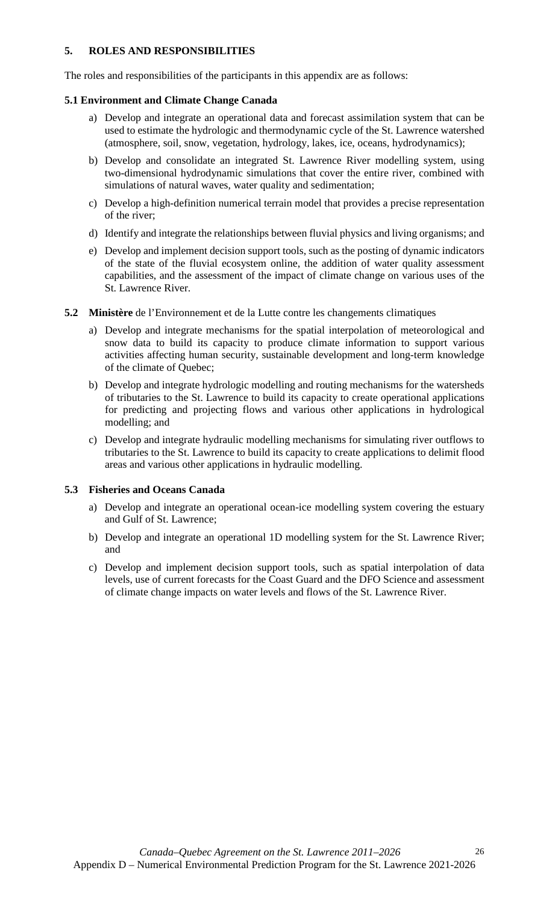## **5. ROLES AND RESPONSIBILITIES**

The roles and responsibilities of the participants in this appendix are as follows:

## **5.1 Environment and Climate Change Canada**

- a) Develop and integrate an operational data and forecast assimilation system that can be used to estimate the hydrologic and thermodynamic cycle of the St. Lawrence watershed (atmosphere, soil, snow, vegetation, hydrology, lakes, ice, oceans, hydrodynamics);
- b) Develop and consolidate an integrated St. Lawrence River modelling system, using two-dimensional hydrodynamic simulations that cover the entire river, combined with simulations of natural waves, water quality and sedimentation;
- c) Develop a high-definition numerical terrain model that provides a precise representation of the river;
- d) Identify and integrate the relationships between fluvial physics and living organisms; and
- e) Develop and implement decision support tools, such as the posting of dynamic indicators of the state of the fluvial ecosystem online, the addition of water quality assessment capabilities, and the assessment of the impact of climate change on various uses of the St. Lawrence River.
- **5.2 Ministère** de l'Environnement et de la Lutte contre les changements climatiques
	- a) Develop and integrate mechanisms for the spatial interpolation of meteorological and snow data to build its capacity to produce climate information to support various activities affecting human security, sustainable development and long-term knowledge of the climate of Quebec;
	- b) Develop and integrate hydrologic modelling and routing mechanisms for the watersheds of tributaries to the St. Lawrence to build its capacity to create operational applications for predicting and projecting flows and various other applications in hydrological modelling; and
	- c) Develop and integrate hydraulic modelling mechanisms for simulating river outflows to tributaries to the St. Lawrence to build its capacity to create applications to delimit flood areas and various other applications in hydraulic modelling.

## **5.3 Fisheries and Oceans Canada**

- a) Develop and integrate an operational ocean-ice modelling system covering the estuary and Gulf of St. Lawrence;
- b) Develop and integrate an operational 1D modelling system for the St. Lawrence River; and
- c) Develop and implement decision support tools, such as spatial interpolation of data levels, use of current forecasts for the Coast Guard and the DFO Science and assessment of climate change impacts on water levels and flows of the St. Lawrence River.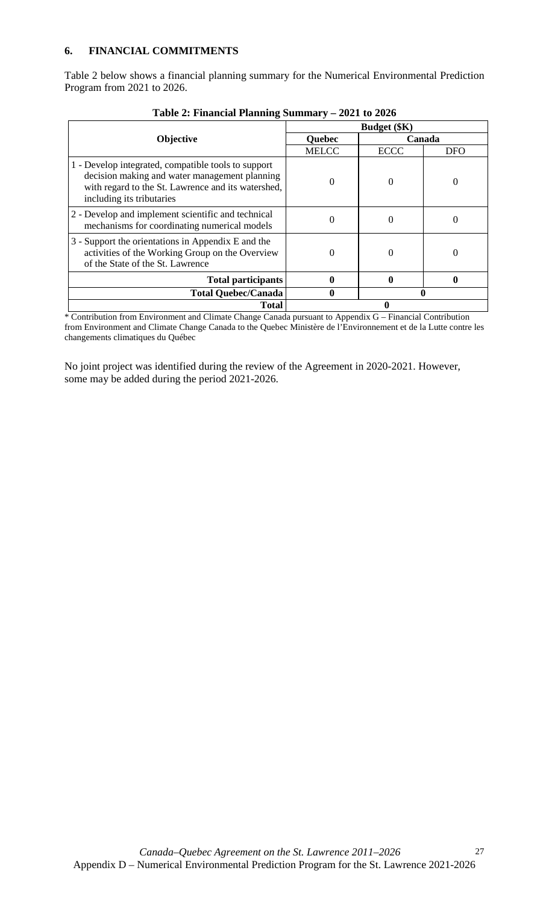Table 2 below shows a financial planning summary for the Numerical Environmental Prediction Program from 2021 to 2026.

|                                                                                                                                                                                         | <b>Budget</b> (\$K) |             |            |  |
|-----------------------------------------------------------------------------------------------------------------------------------------------------------------------------------------|---------------------|-------------|------------|--|
| Objective                                                                                                                                                                               | <b>Quebec</b>       | Canada      |            |  |
|                                                                                                                                                                                         | <b>MELCC</b>        | <b>ECCC</b> | <b>DFO</b> |  |
| 1 - Develop integrated, compatible tools to support<br>decision making and water management planning<br>with regard to the St. Lawrence and its watershed,<br>including its tributaries |                     | 0           |            |  |
| 2 - Develop and implement scientific and technical<br>mechanisms for coordinating numerical models                                                                                      | 0                   | 0           |            |  |
| 3 - Support the orientations in Appendix E and the<br>activities of the Working Group on the Overview<br>of the State of the St. Lawrence                                               | 0                   | 0           | $\theta$   |  |
| <b>Total participants</b>                                                                                                                                                               |                     |             |            |  |
| <b>Total Quebec/Canada</b>                                                                                                                                                              | 0                   |             |            |  |
| <b>Total</b>                                                                                                                                                                            |                     |             |            |  |

**Table 2: Financial Planning Summary – 2021 to 2026**

\* Contribution from Environment and Climate Change Canada pursuant to Appendix G – Financial Contribution from Environment and Climate Change Canada to the Quebec Ministère de l'Environnement et de la Lutte contre les changements climatiques du Québec

No joint project was identified during the review of the Agreement in 2020-2021. However, some may be added during the period 2021-2026.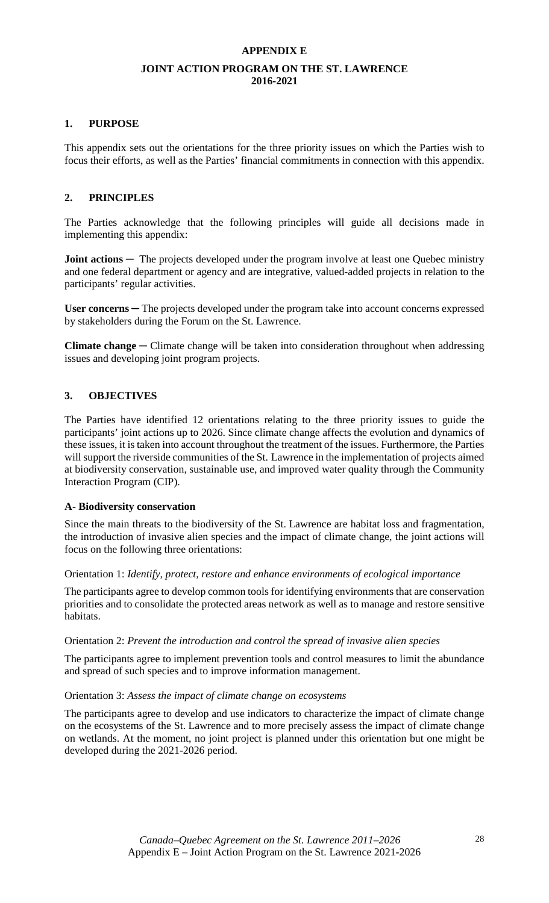### **APPENDIX E**

#### **JOINT ACTION PROGRAM ON THE ST. LAWRENCE 2016-2021**

#### **1. PURPOSE**

This appendix sets out the orientations for the three priority issues on which the Parties wish to focus their efforts, as well as the Parties' financial commitments in connection with this appendix.

## **2. PRINCIPLES**

The Parties acknowledge that the following principles will guide all decisions made in implementing this appendix:

**Joint actions** — The projects developed under the program involve at least one Quebec ministry and one federal department or agency and are integrative, valued-added projects in relation to the participants' regular activities.

User concerns — The projects developed under the program take into account concerns expressed by stakeholders during the Forum on the St. Lawrence.

**Climate change** *─* Climate change will be taken into consideration throughout when addressing issues and developing joint program projects.

#### **3. OBJECTIVES**

The Parties have identified 12 orientations relating to the three priority issues to guide the participants' joint actions up to 2026. Since climate change affects the evolution and dynamics of these issues, it is taken into account throughout the treatment of the issues. Furthermore, the Parties will support the riverside communities of the St. Lawrence in the implementation of projects aimed at biodiversity conservation, sustainable use, and improved water quality through the Community Interaction Program (CIP).

#### **A- Biodiversity conservation**

Since the main threats to the biodiversity of the St. Lawrence are habitat loss and fragmentation, the introduction of invasive alien species and the impact of climate change, the joint actions will focus on the following three orientations:

Orientation 1: *Identify, protect, restore and enhance environments of ecological importance*

The participants agree to develop common tools for identifying environments that are conservation priorities and to consolidate the protected areas network as well as to manage and restore sensitive habitats.

#### Orientation 2: *Prevent the introduction and control the spread of invasive alien species*

The participants agree to implement prevention tools and control measures to limit the abundance and spread of such species and to improve information management.

#### Orientation 3: *Assess the impact of climate change on ecosystems*

The participants agree to develop and use indicators to characterize the impact of climate change on the ecosystems of the St. Lawrence and to more precisely assess the impact of climate change on wetlands. At the moment, no joint project is planned under this orientation but one might be developed during the 2021-2026 period.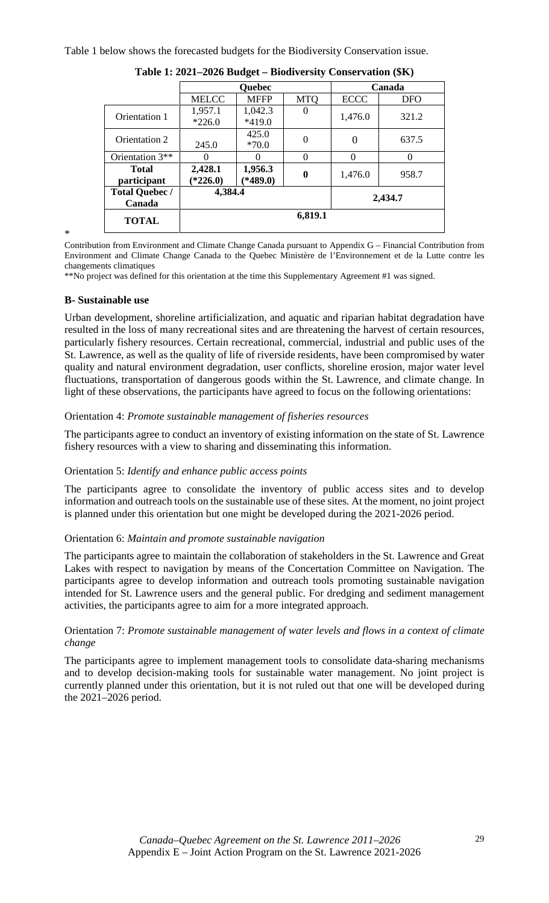Table 1 below shows the forecasted budgets for the Biodiversity Conservation issue.

|                       | <b>Quebec</b> |             |            | Canada      |            |  |
|-----------------------|---------------|-------------|------------|-------------|------------|--|
|                       | <b>MELCC</b>  | <b>MFFP</b> | <b>MTQ</b> | <b>ECCC</b> | <b>DFO</b> |  |
| Orientation 1         | 1,957.1       | 1,042.3     | $\Omega$   | 1,476.0     | 321.2      |  |
|                       | $*226.0$      | *419.0      |            |             |            |  |
| Orientation 2         |               | 425.0       | $\theta$   | 0           | 637.5      |  |
|                       | 245.0         | $*70.0$     |            |             |            |  |
| Orientation 3**       |               | $\Omega$    | $\theta$   | $\Omega$    | $\Omega$   |  |
| <b>Total</b>          | 2,428.1       | 1,956.3     | 0          | 1,476.0     | 958.7      |  |
| participant           | $*226.0$      | $*489.0)$   |            |             |            |  |
| <b>Total Quebec /</b> | 4,384.4       |             |            |             | 2,434.7    |  |
| Canada                |               |             |            |             |            |  |
| <b>TOTAL</b>          |               |             | 6,819.1    |             |            |  |
|                       |               |             |            |             |            |  |

| Table 1: 2021–2026 Budget – Biodiversity Conservation (\$K) |  |  |
|-------------------------------------------------------------|--|--|
|                                                             |  |  |

\*

Contribution from Environment and Climate Change Canada pursuant to Appendix G – Financial Contribution from Environment and Climate Change Canada to the Quebec Ministère de l'Environnement et de la Lutte contre les changements climatiques

\*\*No project was defined for this orientation at the time this Supplementary Agreement #1 was signed.

#### **B- Sustainable use**

Urban development, shoreline artificialization, and aquatic and riparian habitat degradation have resulted in the loss of many recreational sites and are threatening the harvest of certain resources, particularly fishery resources. Certain recreational, commercial, industrial and public uses of the St. Lawrence, as well as the quality of life of riverside residents, have been compromised by water quality and natural environment degradation, user conflicts, shoreline erosion, major water level fluctuations, transportation of dangerous goods within the St. Lawrence, and climate change. In light of these observations, the participants have agreed to focus on the following orientations:

#### Orientation 4: *Promote sustainable management of fisheries resources*

The participants agree to conduct an inventory of existing information on the state of St. Lawrence fishery resources with a view to sharing and disseminating this information.

## Orientation 5: *Identify and enhance public access points*

The participants agree to consolidate the inventory of public access sites and to develop information and outreach tools on the sustainable use of these sites. At the moment, no joint project is planned under this orientation but one might be developed during the 2021-2026 period.

#### Orientation 6: *Maintain and promote sustainable navigation*

The participants agree to maintain the collaboration of stakeholders in the St. Lawrence and Great Lakes with respect to navigation by means of the Concertation Committee on Navigation. The participants agree to develop information and outreach tools promoting sustainable navigation intended for St. Lawrence users and the general public. For dredging and sediment management activities, the participants agree to aim for a more integrated approach.

## Orientation 7: *Promote sustainable management of water levels and flows in a context of climate change*

The participants agree to implement management tools to consolidate data-sharing mechanisms and to develop decision-making tools for sustainable water management. No joint project is currently planned under this orientation, but it is not ruled out that one will be developed during the 2021–2026 period.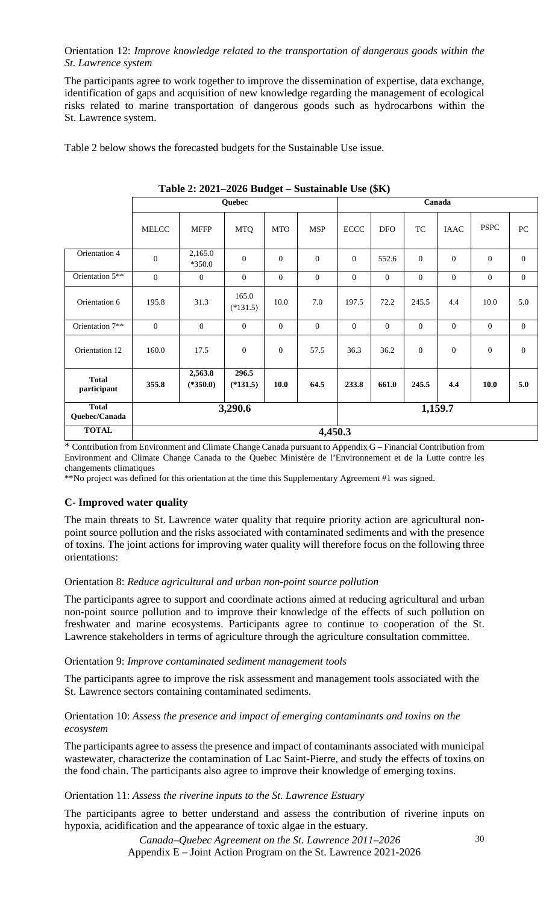Orientation 12: *Improve knowledge related to the transportation of dangerous goods within the St. Lawrence system*

The participants agree to work together to improve the dissemination of expertise, data exchange, identification of gaps and acquisition of new knowledge regarding the management of ecological risks related to marine transportation of dangerous goods such as hydrocarbons within the St. Lawrence system.

Table 2 below shows the forecasted budgets for the Sustainable Use issue.

|                               | $\frac{1}{2}$<br>$D$ <i>uptumumi</i> c $CDU$ |                       |                     |                |                |                |                |                  |                |                  |                  |
|-------------------------------|----------------------------------------------|-----------------------|---------------------|----------------|----------------|----------------|----------------|------------------|----------------|------------------|------------------|
|                               | Quebec                                       |                       |                     |                |                | Canada         |                |                  |                |                  |                  |
|                               | MELCC                                        | <b>MFFP</b>           | <b>MTQ</b>          | <b>MTO</b>     | <b>MSP</b>     | ECCC           | <b>DFO</b>     | TC               | <b>IAAC</b>    | <b>PSPC</b>      | ${\rm P}{\bf C}$ |
| Orientation 4                 | $\overline{0}$                               | 2,165.0<br>$*350.0$   | $\Omega$            | $\overline{0}$ | $\mathbf{0}$   | $\overline{0}$ | 552.6          | $\overline{0}$   | $\theta$       | $\mathbf{0}$     | $\overline{0}$   |
| Orientation 5**               | $\overline{0}$                               | $\overline{0}$        | $\overline{0}$      | $\overline{0}$ | $\overline{0}$ | $\overline{0}$ | $\overline{0}$ | $\overline{0}$   | $\mathbf{0}$   | $\overline{0}$   | $\overline{0}$   |
| Orientation 6                 | 195.8                                        | 31.3                  | 165.0<br>$(*131.5)$ | 10.0           | 7.0            | 197.5          | 72.2           | 245.5            | 4.4            | 10.0             | 5.0              |
| Orientation 7**               | $\overline{0}$                               | $\overline{0}$        | $\overline{0}$      | $\overline{0}$ | $\overline{0}$ | $\overline{0}$ | $\overline{0}$ | $\overline{0}$   | $\mathbf{0}$   | $\mathbf{0}$     | $\overline{0}$   |
| Orientation 12                | 160.0                                        | 17.5                  | $\mathbf{0}$        | $\mathbf{0}$   | 57.5           | 36.3           | 36.2           | $\boldsymbol{0}$ | $\overline{0}$ | $\boldsymbol{0}$ | $\mathbf{0}$     |
| <b>Total</b><br>participant   | 355.8                                        | 2,563.8<br>$(*350.0)$ | 296.5<br>$(*131.5)$ | 10.0           | 64.5           | 233.8          | 661.0          | 245.5            | 4.4            | 10.0             | 5.0              |
| <b>Total</b><br>Quebec/Canada |                                              |                       | 3,290.6             |                |                |                |                |                  | 1,159.7        |                  |                  |
| <b>TOTAL</b>                  | 4,450.3                                      |                       |                     |                |                |                |                |                  |                |                  |                  |

**Table 2: 2021–2026 Budget – Sustainable Use (\$K)** 

\* Contribution from Environment and Climate Change Canada pursuant to Appendix G – Financial Contribution from Environment and Climate Change Canada to the Quebec Ministère de l'Environnement et de la Lutte contre les changements climatiques

\*\*No project was defined for this orientation at the time this Supplementary Agreement #1 was signed.

## **C- Improved water quality**

The main threats to St. Lawrence water quality that require priority action are agricultural nonpoint source pollution and the risks associated with contaminated sediments and with the presence of toxins. The joint actions for improving water quality will therefore focus on the following three orientations:

#### Orientation 8: *Reduce agricultural and urban non-point source pollution*

The participants agree to support and coordinate actions aimed at reducing agricultural and urban non-point source pollution and to improve their knowledge of the effects of such pollution on freshwater and marine ecosystems. Participants agree to continue to cooperation of the St. Lawrence stakeholders in terms of agriculture through the agriculture consultation committee.

#### Orientation 9: *Improve contaminated sediment management tools*

The participants agree to improve the risk assessment and management tools associated with the St. Lawrence sectors containing contaminated sediments.

## Orientation 10: *Assess the presence and impact of emerging contaminants and toxins on the ecosystem*

The participants agree to assess the presence and impact of contaminants associated with municipal wastewater, characterize the contamination of Lac Saint-Pierre, and study the effects of toxins on the food chain. The participants also agree to improve their knowledge of emerging toxins.

## Orientation 11: *Assess the riverine inputs to the St. Lawrence Estuary*

The participants agree to better understand and assess the contribution of riverine inputs on hypoxia, acidification and the appearance of toxic algae in the estuary.

> *Canada–Quebec Agreement on the St. Lawrence 2011–2026*  Appendix E – Joint Action Program on the St. Lawrence 2021-2026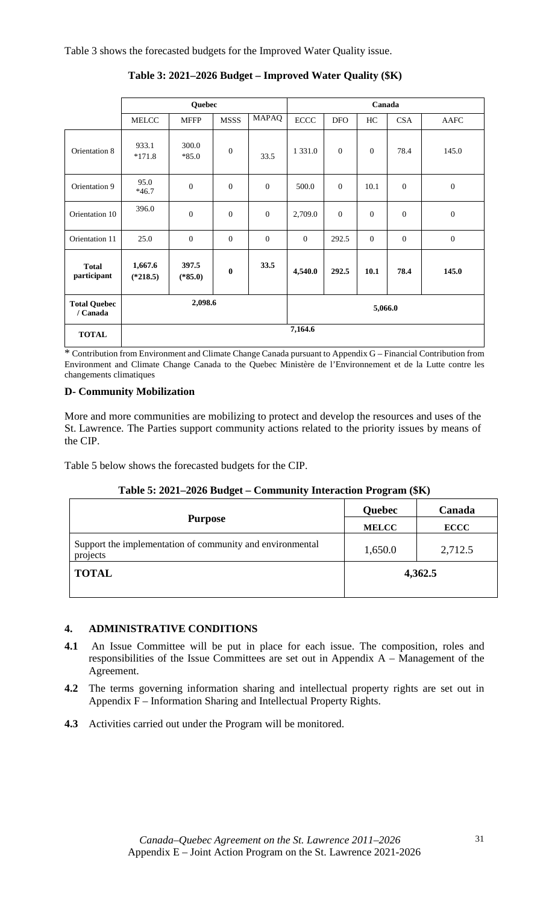Table 3 shows the forecasted budgets for the Improved Water Quality issue.

|                                 | Quebec                |                    |                | Canada       |              |              |          |              |                  |
|---------------------------------|-----------------------|--------------------|----------------|--------------|--------------|--------------|----------|--------------|------------------|
|                                 | <b>MELCC</b>          | <b>MFFP</b>        | <b>MSSS</b>    | <b>MAPAQ</b> | <b>ECCC</b>  | <b>DFO</b>   | HC       | <b>CSA</b>   | AAFC             |
| Orientation 8                   | 933.1<br>$*171.8$     | 300.0<br>$*85.0$   | $\overline{0}$ | 33.5         | 1 3 3 1 .0   | $\mathbf{0}$ | $\theta$ | 78.4         | 145.0            |
| Orientation 9                   | 95.0<br>$*46.7$       | $\theta$           | $\overline{0}$ | $\mathbf{0}$ | 500.0        | $\mathbf{0}$ | 10.1     | $\theta$     | $\boldsymbol{0}$ |
| Orientation 10                  | 396.0                 | $\theta$           | $\overline{0}$ | $\mathbf{0}$ | 2,709.0      | $\mathbf{0}$ | $\Omega$ | $\mathbf{0}$ | $\boldsymbol{0}$ |
| Orientation 11                  | 25.0                  | $\mathbf{0}$       | $\overline{0}$ | $\mathbf{0}$ | $\mathbf{0}$ | 292.5        | $\Omega$ | $\mathbf{0}$ | $\boldsymbol{0}$ |
| <b>Total</b><br>participant     | 1,667.6<br>$(*218.5)$ | 397.5<br>$(*85.0)$ | $\bf{0}$       | 33.5         | 4,540.0      | 292.5        | 10.1     | 78.4         | 145.0            |
| <b>Total Quebec</b><br>/ Canada |                       | 2,098.6            |                |              |              |              | 5,066.0  |              |                  |
| <b>TOTAL</b>                    |                       |                    |                |              | 7,164.6      |              |          |              |                  |

**Table 3: 2021–2026 Budget – Improved Water Quality (\$K)** 

\* Contribution from Environment and Climate Change Canada pursuant to Appendix G – Financial Contribution from Environment and Climate Change Canada to the Quebec Ministère de l'Environnement et de la Lutte contre les changements climatiques

## **D- Community Mobilization**

More and more communities are mobilizing to protect and develop the resources and uses of the St. Lawrence. The Parties support community actions related to the priority issues by means of the CIP.

Table 5 below shows the forecasted budgets for the CIP.

| Table 5: 2021–2026 Budget – Community Interaction Program (\$K) |  |  |
|-----------------------------------------------------------------|--|--|
|                                                                 |  |  |

|                                                                       | Quebec       | Canada      |  |
|-----------------------------------------------------------------------|--------------|-------------|--|
| <b>Purpose</b>                                                        | <b>MELCC</b> | <b>ECCC</b> |  |
| Support the implementation of community and environmental<br>projects | 1,650.0      | 2,712.5     |  |
| <b>TOTAL</b>                                                          | 4,362.5      |             |  |
|                                                                       |              |             |  |

## **4. ADMINISTRATIVE CONDITIONS**

- **4.1** An Issue Committee will be put in place for each issue. The composition, roles and responsibilities of the Issue Committees are set out in Appendix A – Management of the Agreement.
- **4.2** The terms governing information sharing and intellectual property rights are set out in Appendix F – Information Sharing and Intellectual Property Rights.
- **4.3** Activities carried out under the Program will be monitored.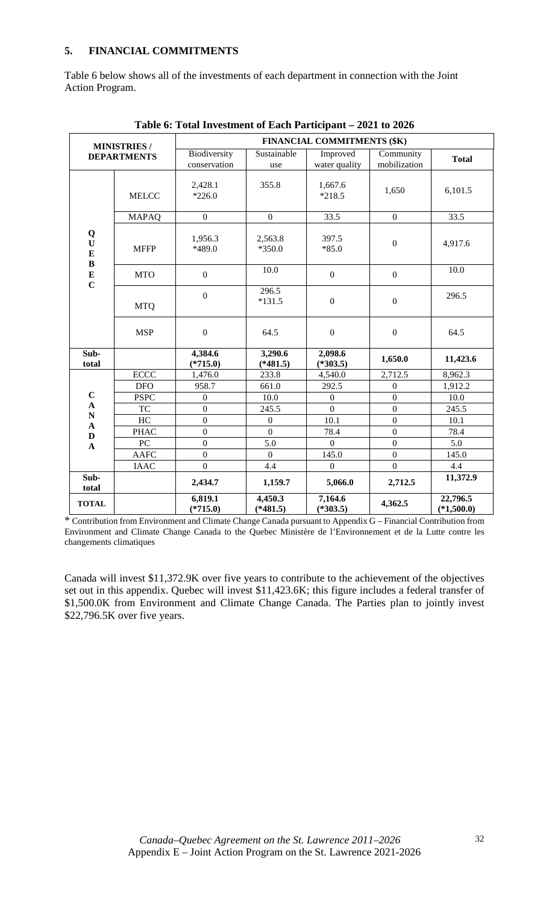## **5. FINANCIAL COMMITMENTS**

Table 6 below shows all of the investments of each department in connection with the Joint Action Program.

|                                              | <b>MINISTRIES/</b> | FINANCIAL COMMITMENTS (\$K)  |                       |                           |                           |                          |  |  |
|----------------------------------------------|--------------------|------------------------------|-----------------------|---------------------------|---------------------------|--------------------------|--|--|
|                                              | <b>DEPARTMENTS</b> | Biodiversity<br>conservation | Sustainable<br>use    | Improved<br>water quality | Community<br>mobilization | <b>Total</b>             |  |  |
|                                              | <b>MELCC</b>       | 2,428.1<br>$*226.0$          | 355.8                 | 1,667.6<br>$*218.5$       | 1,650                     | 6,101.5                  |  |  |
|                                              | <b>MAPAQ</b>       | $\boldsymbol{0}$             | $\overline{0}$        | 33.5                      | $\mathbf{0}$              | 33.5                     |  |  |
| Q<br>$\mathbf U$<br>$\bf{E}$<br>$\, {\bf B}$ | <b>MFFP</b>        | 1,956.3<br>*489.0            | 2,563.8<br>$*350.0$   | 397.5<br>$*85.0$          | $\boldsymbol{0}$          | 4,917.6                  |  |  |
| ${\bf E}$<br>$\mathbf C$                     | <b>MTO</b>         | $\boldsymbol{0}$             | 10.0                  | $\boldsymbol{0}$          | $\mathbf{0}$              | 10.0                     |  |  |
|                                              | <b>MTQ</b>         | $\boldsymbol{0}$             | 296.5<br>$*131.5$     | $\boldsymbol{0}$          | $\mathbf{0}$              | 296.5                    |  |  |
|                                              | <b>MSP</b>         | $\boldsymbol{0}$             | 64.5                  | $\boldsymbol{0}$          | $\boldsymbol{0}$          | 64.5                     |  |  |
| Sub-<br>total                                |                    | 4,384.6<br>$(*715.0)$        | 3,290.6<br>$(*481.5)$ | 2,098.6<br>$(*303.5)$     | 1,650.0                   | 11,423.6                 |  |  |
|                                              | <b>ECCC</b>        | 1,476.0                      | 233.8                 | 4,540.0                   | 2,712.5                   | 8,962.3                  |  |  |
|                                              | <b>DFO</b>         | 958.7                        | 661.0                 | 292.5                     | $\boldsymbol{0}$          | 1,912.2                  |  |  |
| $\mathbf C$                                  | <b>PSPC</b>        | $\boldsymbol{0}$             | 10.0                  | $\boldsymbol{0}$          | $\overline{0}$            | 10.0                     |  |  |
| $\boldsymbol{\rm{A}}$<br>$\mathbf N$         | <b>TC</b>          | $\boldsymbol{0}$             | 245.5                 | $\boldsymbol{0}$          | $\boldsymbol{0}$          | 245.5                    |  |  |
| $\mathbf A$                                  | HC                 | $\boldsymbol{0}$             | $\boldsymbol{0}$      | 10.1                      | $\boldsymbol{0}$          | 10.1                     |  |  |
| $\mathbf D$                                  | <b>PHAC</b>        | $\boldsymbol{0}$             | $\overline{0}$        | 78.4                      | $\mathbf{0}$              | 78.4                     |  |  |
| $\mathbf{A}$                                 | PC                 | $\overline{0}$               | 5.0                   | $\boldsymbol{0}$          | $\boldsymbol{0}$          | 5.0                      |  |  |
|                                              | <b>AAFC</b>        | $\boldsymbol{0}$             | $\Omega$              | 145.0                     | $\mathbf{0}$              | 145.0                    |  |  |
|                                              | <b>IAAC</b>        | $\boldsymbol{0}$             | 4.4                   | $\boldsymbol{0}$          | $\boldsymbol{0}$          | 4.4                      |  |  |
| Sub-<br>total                                |                    | 2,434.7                      | 1,159.7               | 5,066.0                   | 2,712.5                   | 11,372.9                 |  |  |
| <b>TOTAL</b>                                 |                    | 6,819.1<br>$(*715.0)$        | 4,450.3<br>$(*481.5)$ | 7,164.6<br>$(*303.5)$     | 4,362.5                   | 22,796.5<br>$(*1,500.0)$ |  |  |

**Table 6: Total Investment of Each Participant – 2021 to 2026** 

\* Contribution from Environment and Climate Change Canada pursuant to Appendix G – Financial Contribution from Environment and Climate Change Canada to the Quebec Ministère de l'Environnement et de la Lutte contre les changements climatiques

Canada will invest \$11,372.9K over five years to contribute to the achievement of the objectives set out in this appendix. Quebec will invest \$11,423.6K; this figure includes a federal transfer of \$1,500.0K from Environment and Climate Change Canada. The Parties plan to jointly invest \$22,796.5K over five years.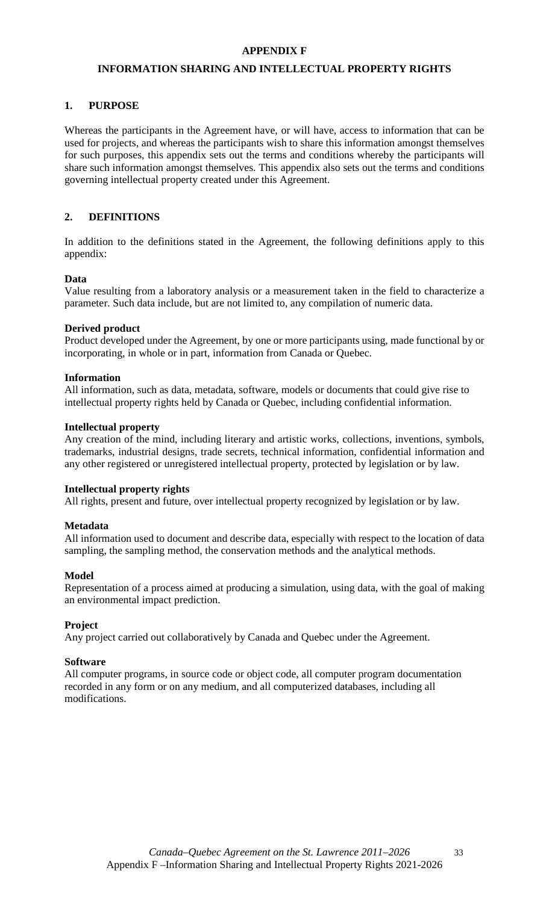## **APPENDIX F**

## **INFORMATION SHARING AND INTELLECTUAL PROPERTY RIGHTS**

## **1. PURPOSE**

Whereas the participants in the Agreement have, or will have, access to information that can be used for projects, and whereas the participants wish to share this information amongst themselves for such purposes, this appendix sets out the terms and conditions whereby the participants will share such information amongst themselves. This appendix also sets out the terms and conditions governing intellectual property created under this Agreement.

## **2. DEFINITIONS**

In addition to the definitions stated in the Agreement, the following definitions apply to this appendix:

## **Data**

Value resulting from a laboratory analysis or a measurement taken in the field to characterize a parameter. Such data include, but are not limited to, any compilation of numeric data.

#### **Derived product**

Product developed under the Agreement, by one or more participants using, made functional by or incorporating, in whole or in part, information from Canada or Quebec.

#### **Information**

All information, such as data, metadata, software, models or documents that could give rise to intellectual property rights held by Canada or Quebec, including confidential information.

#### **Intellectual property**

Any creation of the mind, including literary and artistic works, collections, inventions, symbols, trademarks, industrial designs, trade secrets, technical information, confidential information and any other registered or unregistered intellectual property, protected by legislation or by law.

#### **Intellectual property rights**

All rights, present and future, over intellectual property recognized by legislation or by law.

## **Metadata**

All information used to document and describe data, especially with respect to the location of data sampling, the sampling method, the conservation methods and the analytical methods.

## **Model**

Representation of a process aimed at producing a simulation, using data, with the goal of making an environmental impact prediction.

## **Project**

Any project carried out collaboratively by Canada and Quebec under the Agreement.

## **Software**

All computer programs, in source code or object code, all computer program documentation recorded in any form or on any medium, and all computerized databases, including all modifications.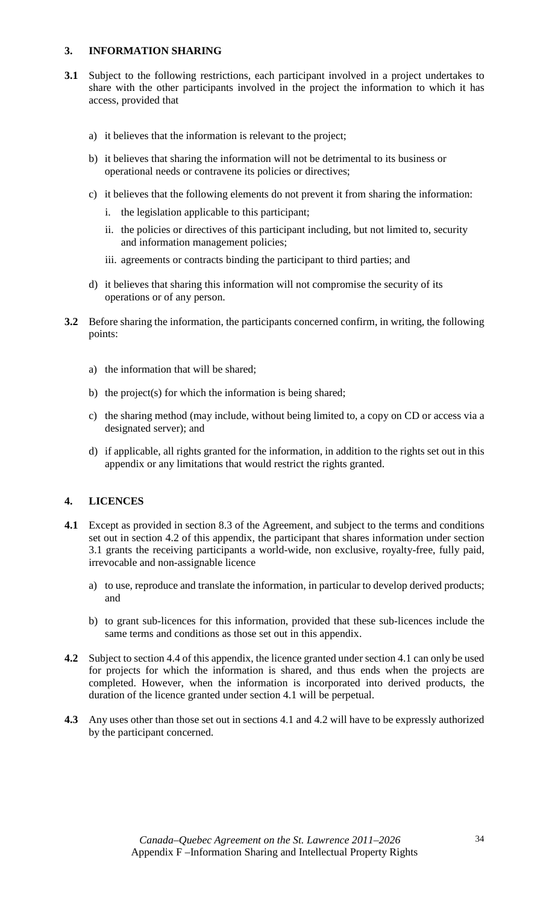## **3. INFORMATION SHARING**

- **3.1** Subject to the following restrictions, each participant involved in a project undertakes to share with the other participants involved in the project the information to which it has access, provided that
	- a) it believes that the information is relevant to the project;
	- b) it believes that sharing the information will not be detrimental to its business or operational needs or contravene its policies or directives;
	- c) it believes that the following elements do not prevent it from sharing the information:
		- i. the legislation applicable to this participant;
		- ii. the policies or directives of this participant including, but not limited to, security and information management policies;
		- iii. agreements or contracts binding the participant to third parties; and
	- d) it believes that sharing this information will not compromise the security of its operations or of any person.
- **3.2** Before sharing the information, the participants concerned confirm, in writing, the following points:
	- a) the information that will be shared;
	- b) the project(s) for which the information is being shared;
	- c) the sharing method (may include, without being limited to, a copy on CD or access via a designated server); and
	- d) if applicable, all rights granted for the information, in addition to the rights set out in this appendix or any limitations that would restrict the rights granted.

## **4. LICENCES**

- **4.1** Except as provided in section 8.3 of the Agreement, and subject to the terms and conditions set out in section 4.2 of this appendix, the participant that shares information under section 3.1 grants the receiving participants a world-wide, non exclusive, royalty-free, fully paid, irrevocable and non-assignable licence
	- a) to use, reproduce and translate the information, in particular to develop derived products; and
	- b) to grant sub-licences for this information, provided that these sub-licences include the same terms and conditions as those set out in this appendix.
- **4.2** Subject to section 4.4 of this appendix, the licence granted under section 4.1 can only be used for projects for which the information is shared, and thus ends when the projects are completed. However, when the information is incorporated into derived products, the duration of the licence granted under section 4.1 will be perpetual.
- **4.3** Any uses other than those set out in sections 4.1 and 4.2 will have to be expressly authorized by the participant concerned.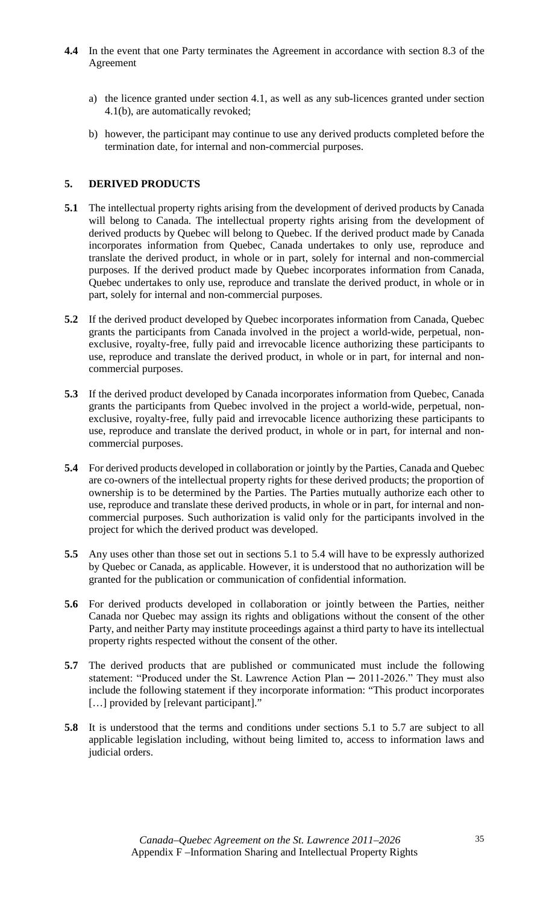- **4.4** In the event that one Party terminates the Agreement in accordance with section 8.3 of the Agreement
	- a) the licence granted under section 4.1, as well as any sub-licences granted under section 4.1(b), are automatically revoked;
	- b) however, the participant may continue to use any derived products completed before the termination date, for internal and non-commercial purposes.

## **5. DERIVED PRODUCTS**

- **5.1** The intellectual property rights arising from the development of derived products by Canada will belong to Canada. The intellectual property rights arising from the development of derived products by Quebec will belong to Quebec. If the derived product made by Canada incorporates information from Quebec, Canada undertakes to only use, reproduce and translate the derived product, in whole or in part, solely for internal and non-commercial purposes. If the derived product made by Quebec incorporates information from Canada, Quebec undertakes to only use, reproduce and translate the derived product, in whole or in part, solely for internal and non-commercial purposes.
- **5.2** If the derived product developed by Quebec incorporates information from Canada, Quebec grants the participants from Canada involved in the project a world-wide, perpetual, nonexclusive, royalty-free, fully paid and irrevocable licence authorizing these participants to use, reproduce and translate the derived product, in whole or in part, for internal and noncommercial purposes.
- **5.3** If the derived product developed by Canada incorporates information from Quebec, Canada grants the participants from Quebec involved in the project a world-wide, perpetual, nonexclusive, royalty-free, fully paid and irrevocable licence authorizing these participants to use, reproduce and translate the derived product, in whole or in part, for internal and noncommercial purposes.
- **5.4** For derived products developed in collaboration or jointly by the Parties, Canada and Quebec are co-owners of the intellectual property rights for these derived products; the proportion of ownership is to be determined by the Parties. The Parties mutually authorize each other to use, reproduce and translate these derived products, in whole or in part, for internal and noncommercial purposes. Such authorization is valid only for the participants involved in the project for which the derived product was developed.
- **5.5** Any uses other than those set out in sections 5.1 to 5.4 will have to be expressly authorized by Quebec or Canada, as applicable. However, it is understood that no authorization will be granted for the publication or communication of confidential information.
- **5.6** For derived products developed in collaboration or jointly between the Parties, neither Canada nor Quebec may assign its rights and obligations without the consent of the other Party, and neither Party may institute proceedings against a third party to have its intellectual property rights respected without the consent of the other.
- **5.7** The derived products that are published or communicated must include the following statement: "Produced under the St. Lawrence Action Plan - 2011-2026." They must also include the following statement if they incorporate information: "This product incorporates [...] provided by [relevant participant]."
- **5.8** It is understood that the terms and conditions under sections 5.1 to 5.7 are subject to all applicable legislation including, without being limited to, access to information laws and judicial orders.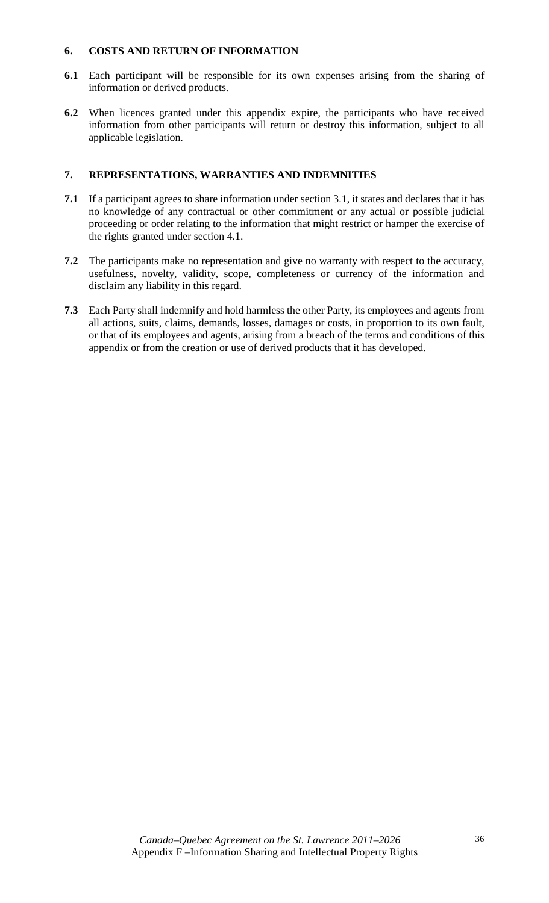## **6. COSTS AND RETURN OF INFORMATION**

- **6.1** Each participant will be responsible for its own expenses arising from the sharing of information or derived products.
- **6.2** When licences granted under this appendix expire, the participants who have received information from other participants will return or destroy this information, subject to all applicable legislation.

## **7. REPRESENTATIONS, WARRANTIES AND INDEMNITIES**

- **7.1** If a participant agrees to share information under section 3.1, it states and declares that it has no knowledge of any contractual or other commitment or any actual or possible judicial proceeding or order relating to the information that might restrict or hamper the exercise of the rights granted under section 4.1.
- **7.2** The participants make no representation and give no warranty with respect to the accuracy, usefulness, novelty, validity, scope, completeness or currency of the information and disclaim any liability in this regard.
- **7.3** Each Party shall indemnify and hold harmless the other Party, its employees and agents from all actions, suits, claims, demands, losses, damages or costs, in proportion to its own fault, or that of its employees and agents, arising from a breach of the terms and conditions of this appendix or from the creation or use of derived products that it has developed.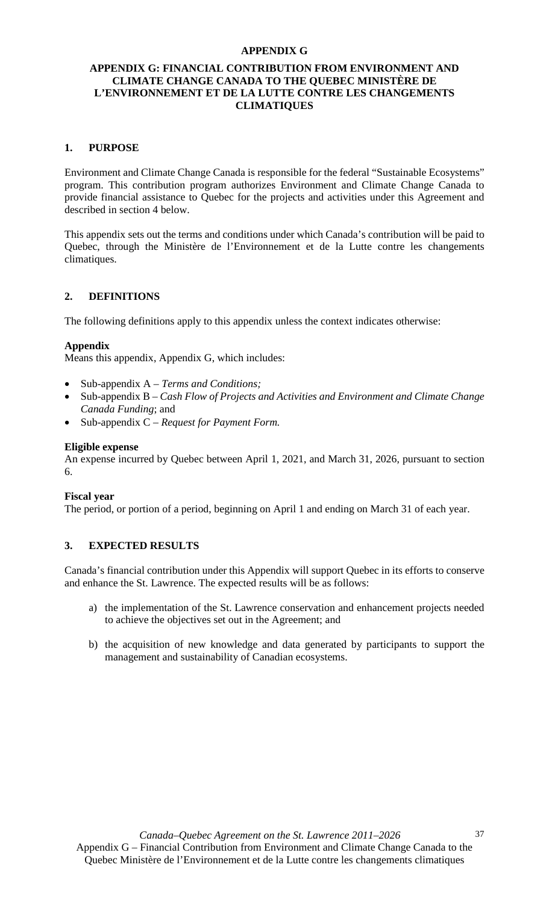#### **APPENDIX G**

## **APPENDIX G: FINANCIAL CONTRIBUTION FROM ENVIRONMENT AND CLIMATE CHANGE CANADA TO THE QUEBEC MINISTÈRE DE L'ENVIRONNEMENT ET DE LA LUTTE CONTRE LES CHANGEMENTS CLIMATIQUES**

### **1. PURPOSE**

Environment and Climate Change Canada is responsible for the federal "Sustainable Ecosystems" program. This contribution program authorizes Environment and Climate Change Canada to provide financial assistance to Quebec for the projects and activities under this Agreement and described in section 4 below.

This appendix sets out the terms and conditions under which Canada's contribution will be paid to Quebec, through the Ministère de l'Environnement et de la Lutte contre les changements climatiques.

## **2. DEFINITIONS**

The following definitions apply to this appendix unless the context indicates otherwise:

#### **Appendix**

Means this appendix, Appendix G, which includes:

- Sub-appendix A *Terms and Conditions;*
- Sub-appendix B *Cash Flow of Projects and Activities and Environment and Climate Change Canada Funding*; and
- Sub-appendix C *Request for Payment Form.*

## **Eligible expense**

An expense incurred by Quebec between April 1, 2021, and March 31, 2026, pursuant to section 6.

#### **Fiscal year**

The period, or portion of a period, beginning on April 1 and ending on March 31 of each year.

## **3. EXPECTED RESULTS**

Canada's financial contribution under this Appendix will support Quebec in its efforts to conserve and enhance the St. Lawrence. The expected results will be as follows:

- a) the implementation of the St. Lawrence conservation and enhancement projects needed to achieve the objectives set out in the Agreement; and
- b) the acquisition of new knowledge and data generated by participants to support the management and sustainability of Canadian ecosystems.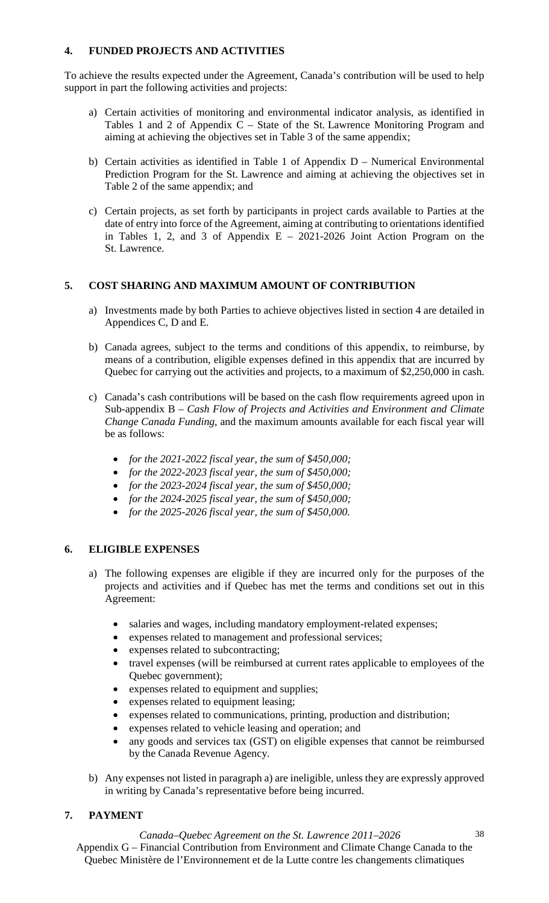## **4. FUNDED PROJECTS AND ACTIVITIES**

To achieve the results expected under the Agreement, Canada's contribution will be used to help support in part the following activities and projects:

- a) Certain activities of monitoring and environmental indicator analysis, as identified in Tables 1 and 2 of Appendix C – State of the St. Lawrence Monitoring Program and aiming at achieving the objectives set in Table 3 of the same appendix;
- b) Certain activities as identified in Table 1 of Appendix D Numerical Environmental Prediction Program for the St. Lawrence and aiming at achieving the objectives set in Table 2 of the same appendix; and
- c) Certain projects, as set forth by participants in project cards available to Parties at the date of entry into force of the Agreement, aiming at contributing to orientations identified in Tables 1, 2, and 3 of Appendix  $E - 2021-2026$  Joint Action Program on the St. Lawrence.

## **5. COST SHARING AND MAXIMUM AMOUNT OF CONTRIBUTION**

- a) Investments made by both Parties to achieve objectives listed in section 4 are detailed in Appendices C, D and E.
- b) Canada agrees, subject to the terms and conditions of this appendix, to reimburse, by means of a contribution, eligible expenses defined in this appendix that are incurred by Quebec for carrying out the activities and projects, to a maximum of \$2,250,000 in cash.
- c) Canada's cash contributions will be based on the cash flow requirements agreed upon in Sub-appendix B – *Cash Flow of Projects and Activities and Environment and Climate Change Canada Funding*, and the maximum amounts available for each fiscal year will be as follows:
	- *for the 2021-2022 fiscal year, the sum of \$450,000;*
	- *for the 2022-2023 fiscal year, the sum of \$450,000;*
	- *for the 2023-2024 fiscal year, the sum of \$450,000;*
	- *for the 2024-2025 fiscal year, the sum of \$450,000;*
	- *for the 2025-2026 fiscal year, the sum of \$450,000.*

## **6. ELIGIBLE EXPENSES**

- a) The following expenses are eligible if they are incurred only for the purposes of the projects and activities and if Quebec has met the terms and conditions set out in this Agreement:
	- salaries and wages, including mandatory employment-related expenses;
	- expenses related to management and professional services;
	- expenses related to subcontracting;
	- travel expenses (will be reimbursed at current rates applicable to employees of the Quebec government);
	- expenses related to equipment and supplies;
	- expenses related to equipment leasing;
	- expenses related to communications, printing, production and distribution;
	- expenses related to vehicle leasing and operation; and
	- any goods and services tax (GST) on eligible expenses that cannot be reimbursed by the Canada Revenue Agency.
- b) Any expenses not listed in paragraph a) are ineligible, unless they are expressly approved in writing by Canada's representative before being incurred.

## **7. PAYMENT**

*Canada–Quebec Agreement on the St. Lawrence 2011–2026*  Appendix G – Financial Contribution from Environment and Climate Change Canada to the Quebec Ministère de l'Environnement et de la Lutte contre les changements climatiques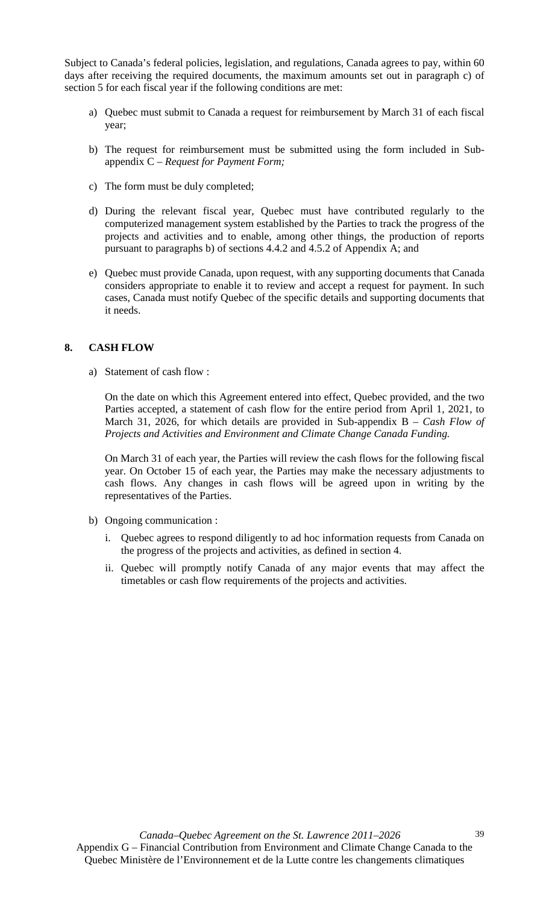Subject to Canada's federal policies, legislation, and regulations, Canada agrees to pay, within 60 days after receiving the required documents, the maximum amounts set out in paragraph c) of section 5 for each fiscal year if the following conditions are met:

- a) Quebec must submit to Canada a request for reimbursement by March 31 of each fiscal year;
- b) The request for reimbursement must be submitted using the form included in Subappendix C – *Request for Payment Form;*
- c) The form must be duly completed;
- d) During the relevant fiscal year, Quebec must have contributed regularly to the computerized management system established by the Parties to track the progress of the projects and activities and to enable, among other things, the production of reports pursuant to paragraphs b) of sections 4.4.2 and 4.5.2 of Appendix A; and
- e) Quebec must provide Canada, upon request, with any supporting documents that Canada considers appropriate to enable it to review and accept a request for payment. In such cases, Canada must notify Quebec of the specific details and supporting documents that it needs.

## **8. CASH FLOW**

a) Statement of cash flow :

On the date on which this Agreement entered into effect, Quebec provided, and the two Parties accepted, a statement of cash flow for the entire period from April 1, 2021, to March 31, 2026, for which details are provided in Sub-appendix B – *Cash Flow of Projects and Activities and Environment and Climate Change Canada Funding.*

On March 31 of each year, the Parties will review the cash flows for the following fiscal year. On October 15 of each year, the Parties may make the necessary adjustments to cash flows. Any changes in cash flows will be agreed upon in writing by the representatives of the Parties.

- b) Ongoing communication :
	- i. Quebec agrees to respond diligently to ad hoc information requests from Canada on the progress of the projects and activities, as defined in section 4.
	- ii. Quebec will promptly notify Canada of any major events that may affect the timetables or cash flow requirements of the projects and activities.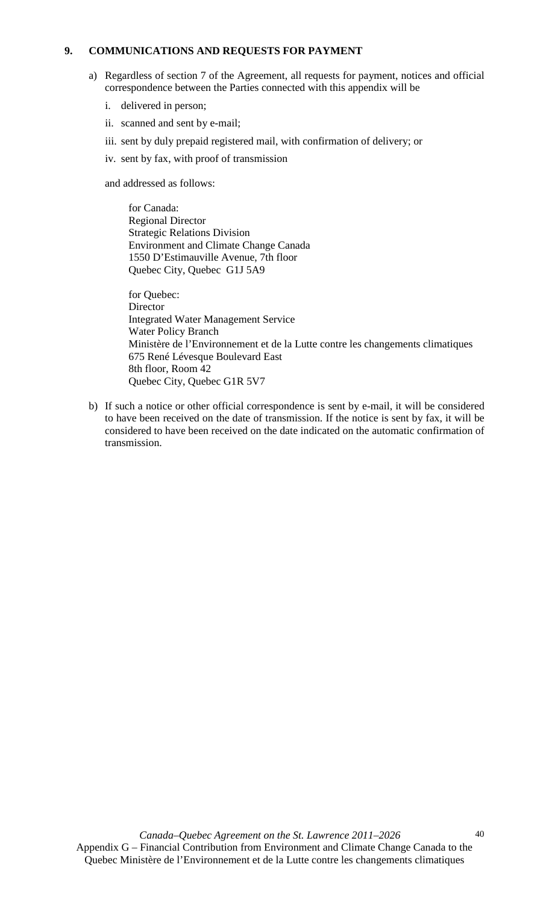## **9. COMMUNICATIONS AND REQUESTS FOR PAYMENT**

- a) Regardless of section 7 of the Agreement, all requests for payment, notices and official correspondence between the Parties connected with this appendix will be
	- i. delivered in person;
	- ii. scanned and sent by e-mail;
	- iii. sent by duly prepaid registered mail, with confirmation of delivery; or
	- iv. sent by fax, with proof of transmission

and addressed as follows:

for Canada: Regional Director Strategic Relations Division Environment and Climate Change Canada 1550 D'Estimauville Avenue, 7th floor Quebec City, Quebec G1J 5A9

for Quebec: Director Integrated Water Management Service Water Policy Branch Ministère de l'Environnement et de la Lutte contre les changements climatiques 675 René Lévesque Boulevard East 8th floor, Room 42 Quebec City, Quebec G1R 5V7

b) If such a notice or other official correspondence is sent by e-mail, it will be considered to have been received on the date of transmission. If the notice is sent by fax, it will be considered to have been received on the date indicated on the automatic confirmation of transmission.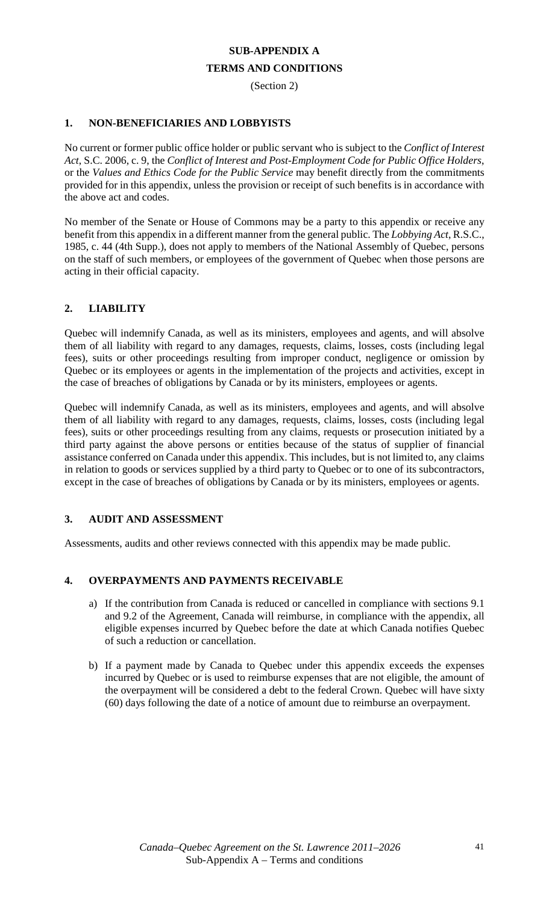# **SUB-APPENDIX A TERMS AND CONDITIONS**

(Section 2)

## **1. NON-BENEFICIARIES AND LOBBYISTS**

No current or former public office holder or public servant who is subject to the *Conflict of Interest Act*, S.C. 2006, c. 9, the *Conflict of Interest and Post-Employment Code for Public Office Holders*, or the *Values and Ethics Code for the Public Service* may benefit directly from the commitments provided for in this appendix, unless the provision or receipt of such benefits is in accordance with the above act and codes.

No member of the Senate or House of Commons may be a party to this appendix or receive any benefit from this appendix in a different manner from the general public. The *Lobbying Act*, R.S.C., 1985, c. 44 (4th Supp.), does not apply to members of the National Assembly of Quebec, persons on the staff of such members, or employees of the government of Quebec when those persons are acting in their official capacity.

## **2. LIABILITY**

Quebec will indemnify Canada, as well as its ministers, employees and agents, and will absolve them of all liability with regard to any damages, requests, claims, losses, costs (including legal fees), suits or other proceedings resulting from improper conduct, negligence or omission by Quebec or its employees or agents in the implementation of the projects and activities, except in the case of breaches of obligations by Canada or by its ministers, employees or agents.

Quebec will indemnify Canada, as well as its ministers, employees and agents, and will absolve them of all liability with regard to any damages, requests, claims, losses, costs (including legal fees), suits or other proceedings resulting from any claims, requests or prosecution initiated by a third party against the above persons or entities because of the status of supplier of financial assistance conferred on Canada under this appendix. This includes, but is not limited to, any claims in relation to goods or services supplied by a third party to Quebec or to one of its subcontractors, except in the case of breaches of obligations by Canada or by its ministers, employees or agents.

## **3. AUDIT AND ASSESSMENT**

Assessments, audits and other reviews connected with this appendix may be made public.

## **4. OVERPAYMENTS AND PAYMENTS RECEIVABLE**

- a) If the contribution from Canada is reduced or cancelled in compliance with sections 9.1 and 9.2 of the Agreement, Canada will reimburse, in compliance with the appendix, all eligible expenses incurred by Quebec before the date at which Canada notifies Quebec of such a reduction or cancellation.
- b) If a payment made by Canada to Quebec under this appendix exceeds the expenses incurred by Quebec or is used to reimburse expenses that are not eligible, the amount of the overpayment will be considered a debt to the federal Crown. Quebec will have sixty (60) days following the date of a notice of amount due to reimburse an overpayment.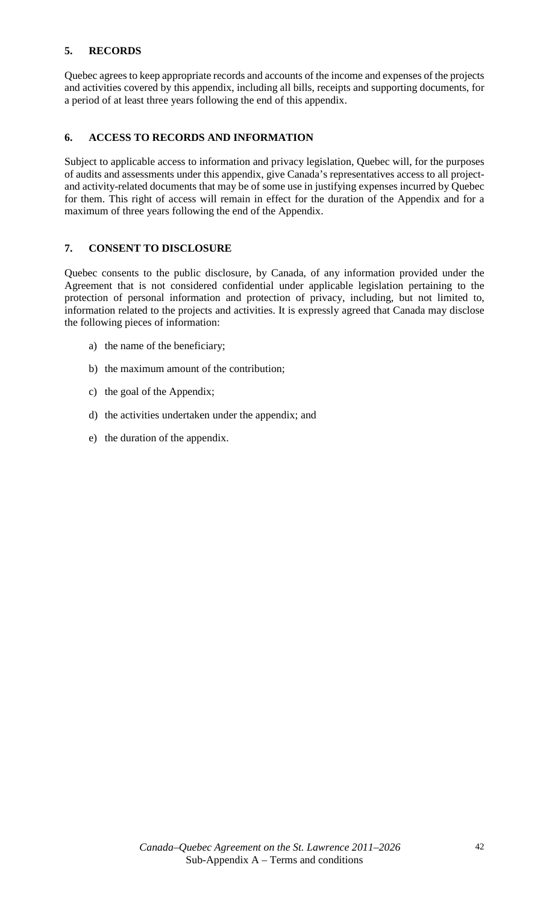## **5. RECORDS**

Quebec agrees to keep appropriate records and accounts of the income and expenses of the projects and activities covered by this appendix, including all bills, receipts and supporting documents, for a period of at least three years following the end of this appendix.

## **6. ACCESS TO RECORDS AND INFORMATION**

Subject to applicable access to information and privacy legislation, Quebec will, for the purposes of audits and assessments under this appendix, give Canada's representatives access to all projectand activity-related documents that may be of some use in justifying expenses incurred by Quebec for them. This right of access will remain in effect for the duration of the Appendix and for a maximum of three years following the end of the Appendix.

## **7. CONSENT TO DISCLOSURE**

Quebec consents to the public disclosure, by Canada, of any information provided under the Agreement that is not considered confidential under applicable legislation pertaining to the protection of personal information and protection of privacy, including, but not limited to, information related to the projects and activities. It is expressly agreed that Canada may disclose the following pieces of information:

- a) the name of the beneficiary;
- b) the maximum amount of the contribution;
- c) the goal of the Appendix;
- d) the activities undertaken under the appendix; and
- e) the duration of the appendix.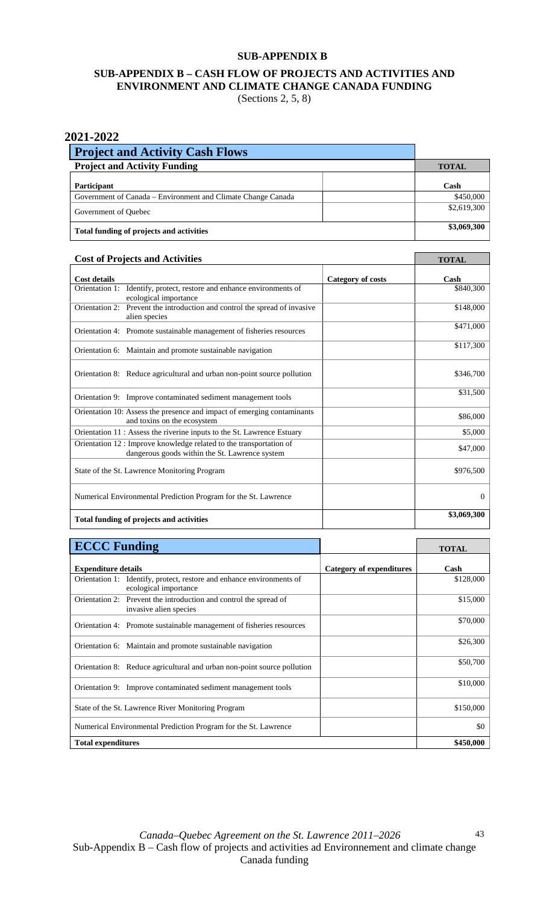## **SUB-APPENDIX B**

## **SUB-APPENDIX B – CASH FLOW OF PROJECTS AND ACTIVITIES AND ENVIRONMENT AND CLIMATE CHANGE CANADA FUNDING**  (Sections 2, 5, 8)

## **2021-2022**

| <b>Project and Activity Cash Flows</b>                       |              |             |
|--------------------------------------------------------------|--------------|-------------|
| <b>Project and Activity Funding</b>                          | <b>TOTAL</b> |             |
| <b>Participant</b>                                           |              | Cash        |
| Government of Canada – Environment and Climate Change Canada |              | \$450,000   |
| Government of Quebec                                         |              | \$2,619,300 |
| Total funding of projects and activities                     |              | \$3,069,300 |

٦

## **Cost of Projects and Activities TOTAL**

| Cost of I folects and Activities                                                                                      | TUTAL             |                |
|-----------------------------------------------------------------------------------------------------------------------|-------------------|----------------|
| <b>Cost details</b>                                                                                                   | Category of costs | Cash           |
| Identify, protect, restore and enhance environments of<br>Orientation 1:<br>ecological importance                     |                   | \$840,300      |
| Orientation 2:<br>Prevent the introduction and control the spread of invasive<br>alien species                        |                   | \$148,000      |
| Orientation 4: Promote sustainable management of fisheries resources                                                  |                   | \$471,000      |
| Orientation 6: Maintain and promote sustainable navigation                                                            |                   | \$117,300      |
| Orientation 8: Reduce agricultural and urban non-point source pollution                                               |                   | \$346,700      |
| Orientation 9: Improve contaminated sediment management tools                                                         |                   | \$31,500       |
| Orientation 10: Assess the presence and impact of emerging contaminants<br>and toxins on the ecosystem                |                   | \$86,000       |
| Orientation 11: Assess the riverine inputs to the St. Lawrence Estuary                                                |                   | \$5,000        |
| Orientation 12 : Improve knowledge related to the transportation of<br>dangerous goods within the St. Lawrence system |                   | \$47,000       |
| State of the St. Lawrence Monitoring Program                                                                          |                   | \$976,500      |
| Numerical Environmental Prediction Program for the St. Lawrence                                                       |                   | $\overline{0}$ |
| Total funding of projects and activities                                                                              |                   | \$3,069,300    |

| <b>ECCC Funding</b>                                                                            |                          | <b>TOTAL</b> |
|------------------------------------------------------------------------------------------------|--------------------------|--------------|
| <b>Expenditure details</b>                                                                     | Category of expenditures | Cash         |
| Orientation 1: Identify, protect, restore and enhance environments of<br>ecological importance |                          | \$128,000    |
| Orientation 2: Prevent the introduction and control the spread of<br>invasive alien species    |                          | \$15,000     |
| Orientation 4: Promote sustainable management of fisheries resources                           |                          | \$70,000     |
| Orientation 6: Maintain and promote sustainable navigation                                     |                          | \$26,300     |
| Orientation 8: Reduce agricultural and urban non-point source pollution                        |                          | \$50,700     |
| Orientation 9: Improve contaminated sediment management tools                                  |                          | \$10,000     |
| State of the St. Lawrence River Monitoring Program                                             |                          | \$150,000    |
| Numerical Environmental Prediction Program for the St. Lawrence                                |                          | \$0          |
| <b>Total expenditures</b>                                                                      |                          | \$450,000    |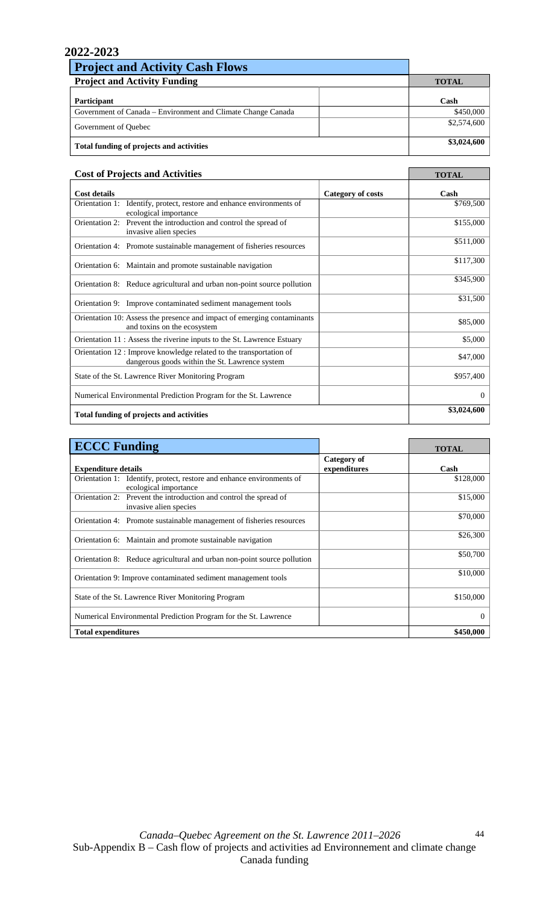| <b>Project and Activity Cash Flows</b>                       |              |             |
|--------------------------------------------------------------|--------------|-------------|
| <b>Project and Activity Funding</b>                          | <b>TOTAL</b> |             |
| Participant                                                  |              | Cash        |
| Government of Canada – Environment and Climate Change Canada |              | \$450,000   |
| Government of Quebec                                         |              | \$2,574,600 |
| Total funding of projects and activities                     |              | \$3,024,600 |

| <b>Cost of Projects and Activities</b>                                                                                | <b>TOTAL</b>      |             |
|-----------------------------------------------------------------------------------------------------------------------|-------------------|-------------|
| Cost details                                                                                                          | Category of costs | Cash        |
| Identify, protect, restore and enhance environments of<br>Orientation 1:<br>ecological importance                     |                   | \$769,500   |
| Orientation 2: Prevent the introduction and control the spread of<br>invasive alien species                           |                   | \$155,000   |
| Orientation 4: Promote sustainable management of fisheries resources                                                  |                   | \$511,000   |
| Orientation 6: Maintain and promote sustainable navigation                                                            |                   | \$117,300   |
| Orientation 8: Reduce agricultural and urban non-point source pollution                                               |                   | \$345,900   |
| Orientation 9: Improve contaminated sediment management tools                                                         |                   | \$31,500    |
| Orientation 10: Assess the presence and impact of emerging contaminants<br>and toxins on the ecosystem                |                   | \$85,000    |
| Orientation 11 : Assess the riverine inputs to the St. Lawrence Estuary                                               |                   | \$5,000     |
| Orientation 12 : Improve knowledge related to the transportation of<br>dangerous goods within the St. Lawrence system |                   | \$47,000    |
| State of the St. Lawrence River Monitoring Program                                                                    |                   | \$957.400   |
| Numerical Environmental Prediction Program for the St. Lawrence                                                       |                   | $\Omega$    |
| Total funding of projects and activities                                                                              |                   | \$3,024,600 |

| <b>ECCC Funding</b>                                                                            |                             | <b>TOTAL</b> |
|------------------------------------------------------------------------------------------------|-----------------------------|--------------|
| <b>Expenditure details</b>                                                                     | Category of<br>expenditures | Cash         |
| Orientation 1: Identify, protect, restore and enhance environments of<br>ecological importance |                             | \$128,000    |
| Orientation 2: Prevent the introduction and control the spread of<br>invasive alien species    |                             | \$15,000     |
| Orientation 4: Promote sustainable management of fisheries resources                           |                             | \$70,000     |
| Orientation 6: Maintain and promote sustainable navigation                                     |                             | \$26,300     |
| Orientation 8: Reduce agricultural and urban non-point source pollution                        |                             | \$50,700     |
| Orientation 9: Improve contaminated sediment management tools                                  |                             | \$10,000     |
| State of the St. Lawrence River Monitoring Program                                             |                             | \$150,000    |
| Numerical Environmental Prediction Program for the St. Lawrence                                |                             | 0            |
| <b>Total expenditures</b>                                                                      |                             | \$450,000    |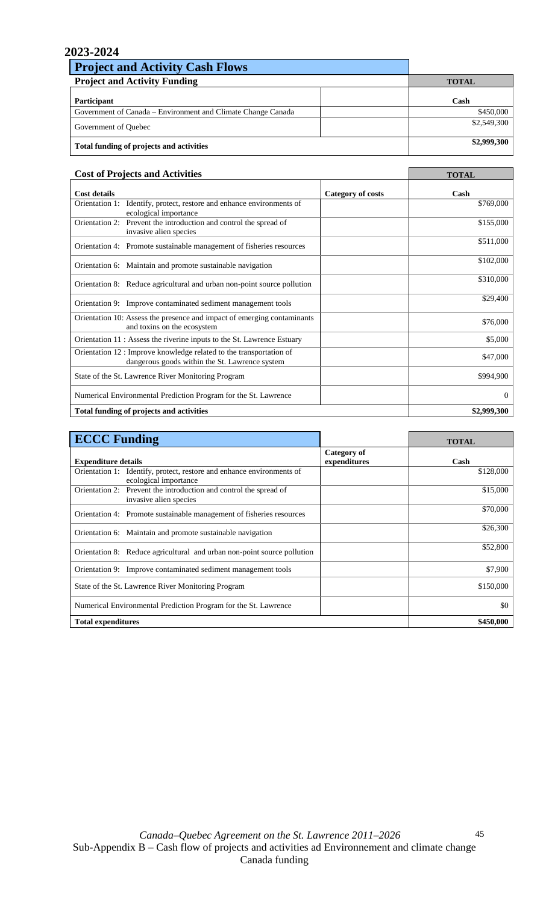| <b>Project and Activity Cash Flows</b>                       |              |
|--------------------------------------------------------------|--------------|
| <b>Project and Activity Funding</b>                          | <b>TOTAL</b> |
| Participant                                                  | Cash         |
| Government of Canada – Environment and Climate Change Canada | \$450,000    |
| Government of Quebec                                         | \$2,549,300  |
| Total funding of projects and activities                     | \$2,999,300  |

| <b>Cost of Projects and Activities</b>                                                                                |                          | <b>TOTAL</b> |
|-----------------------------------------------------------------------------------------------------------------------|--------------------------|--------------|
| <b>Cost details</b>                                                                                                   | <b>Category of costs</b> | Cash         |
| Identify, protect, restore and enhance environments of<br>Orientation 1:<br>ecological importance                     |                          | \$769,000    |
| Orientation 2: Prevent the introduction and control the spread of<br>invasive alien species                           |                          | \$155,000    |
| Orientation 4: Promote sustainable management of fisheries resources                                                  |                          | \$511,000    |
| Orientation 6: Maintain and promote sustainable navigation                                                            |                          | \$102,000    |
| Orientation 8: Reduce agricultural and urban non-point source pollution                                               |                          | \$310,000    |
| Orientation 9: Improve contaminated sediment management tools                                                         |                          | \$29,400     |
| Orientation 10: Assess the presence and impact of emerging contaminants<br>and toxins on the ecosystem                |                          | \$76,000     |
| Orientation 11 : Assess the riverine inputs to the St. Lawrence Estuary                                               |                          | \$5,000      |
| Orientation 12 : Improve knowledge related to the transportation of<br>dangerous goods within the St. Lawrence system |                          | \$47,000     |
| State of the St. Lawrence River Monitoring Program                                                                    |                          | \$994,900    |
| Numerical Environmental Prediction Program for the St. Lawrence                                                       |                          | $\Omega$     |
| Total funding of projects and activities                                                                              |                          | \$2,999,300  |

| <b>ECCC Funding</b>                                                                            |                             | <b>TOTAL</b> |
|------------------------------------------------------------------------------------------------|-----------------------------|--------------|
| <b>Expenditure details</b>                                                                     | Category of<br>expenditures | Cash         |
| Orientation 1: Identify, protect, restore and enhance environments of<br>ecological importance |                             | \$128,000    |
| Orientation 2: Prevent the introduction and control the spread of<br>invasive alien species    |                             | \$15,000     |
| Orientation 4: Promote sustainable management of fisheries resources                           |                             | \$70,000     |
| Orientation 6: Maintain and promote sustainable navigation                                     |                             | \$26,300     |
| Orientation 8: Reduce agricultural and urban non-point source pollution                        |                             | \$52,800     |
| Orientation 9: Improve contaminated sediment management tools                                  |                             | \$7,900      |
| State of the St. Lawrence River Monitoring Program                                             |                             | \$150,000    |
| Numerical Environmental Prediction Program for the St. Lawrence                                |                             | \$0          |
| <b>Total expenditures</b>                                                                      |                             | \$450,000    |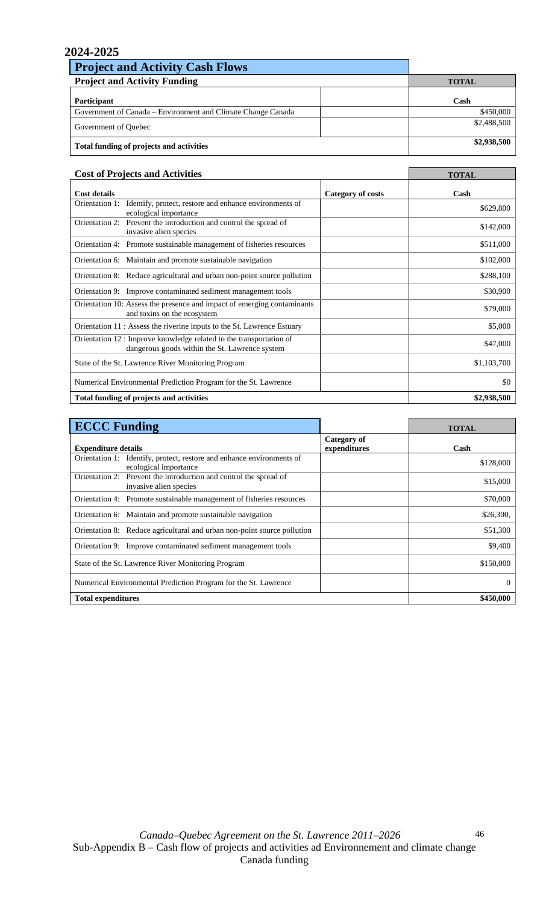| <b>Project and Activity Cash Flows</b>                       |              |
|--------------------------------------------------------------|--------------|
| <b>Project and Activity Funding</b>                          | <b>TOTAL</b> |
| Participant                                                  | Cash         |
| Government of Canada – Environment and Climate Change Canada | \$450,000    |
| Government of Quebec                                         | \$2,488,500  |
| Total funding of projects and activities                     | \$2,938,500  |

| <b>Cost of Projects and Activities</b>                                                                                |                   | <b>TOTAL</b> |
|-----------------------------------------------------------------------------------------------------------------------|-------------------|--------------|
| <b>Cost details</b>                                                                                                   | Category of costs | Cash         |
| Identify, protect, restore and enhance environments of<br>Orientation 1:<br>ecological importance                     |                   | \$629,800    |
| Orientation 2: Prevent the introduction and control the spread of<br>invasive alien species                           |                   | \$142,000    |
| Orientation 4: Promote sustainable management of fisheries resources                                                  |                   | \$511,000    |
| Orientation 6: Maintain and promote sustainable navigation                                                            |                   | \$102,000    |
| Orientation 8: Reduce agricultural and urban non-point source pollution                                               |                   | \$288,100    |
| Orientation 9: Improve contaminated sediment management tools                                                         |                   | \$30,900     |
| Orientation 10: Assess the presence and impact of emerging contaminants<br>and toxins on the ecosystem                |                   | \$79,000     |
| Orientation 11 : Assess the riverine inputs to the St. Lawrence Estuary                                               |                   | \$5,000      |
| Orientation 12 : Improve knowledge related to the transportation of<br>dangerous goods within the St. Lawrence system |                   | \$47,000     |
| State of the St. Lawrence River Monitoring Program                                                                    |                   | \$1,103,700  |
| Numerical Environmental Prediction Program for the St. Lawrence                                                       |                   | \$0          |
| Total funding of projects and activities                                                                              |                   | \$2,938,500  |

| <b>ECCC Funding</b>                                                                            |                             | <b>TOTAL</b> |
|------------------------------------------------------------------------------------------------|-----------------------------|--------------|
| <b>Expenditure details</b>                                                                     | Category of<br>expenditures | Cash         |
| Orientation 1: Identify, protect, restore and enhance environments of<br>ecological importance |                             | \$128,000    |
| Orientation 2: Prevent the introduction and control the spread of<br>invasive alien species    |                             | \$15,000     |
| Orientation 4: Promote sustainable management of fisheries resources                           |                             | \$70,000     |
| Orientation 6: Maintain and promote sustainable navigation                                     |                             | \$26,300.    |
| Orientation 8: Reduce agricultural and urban non-point source pollution                        |                             | \$51,300     |
| Orientation 9: Improve contaminated sediment management tools                                  |                             | \$9,400      |
| State of the St. Lawrence River Monitoring Program                                             |                             | \$150,000    |
| Numerical Environmental Prediction Program for the St. Lawrence                                |                             | $\Omega$     |
| <b>Total expenditures</b>                                                                      |                             | \$450,000    |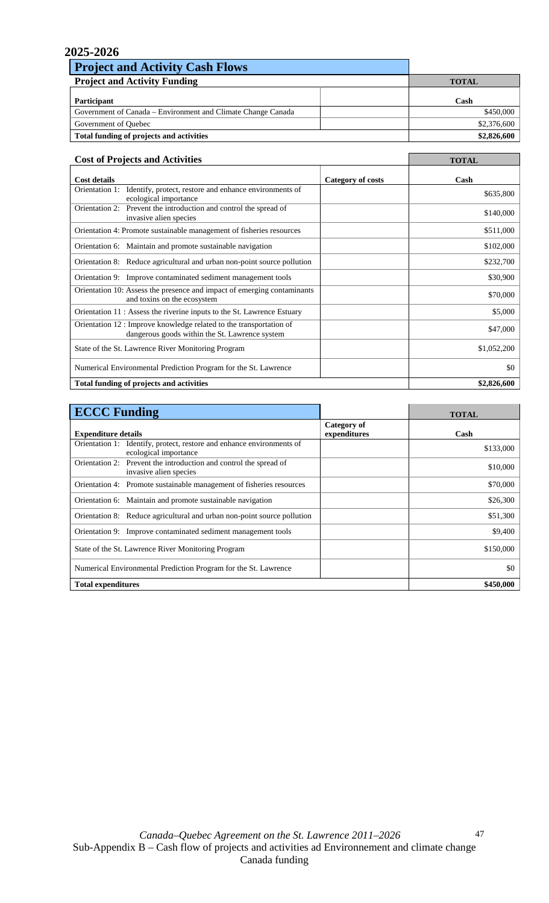| <b>Project and Activity Cash Flows</b>                       |              |
|--------------------------------------------------------------|--------------|
| <b>Project and Activity Funding</b>                          | <b>TOTAL</b> |
| Participant                                                  | Cash         |
| Government of Canada – Environment and Climate Change Canada | \$450,000    |
| Government of Quebec                                         | \$2,376,600  |
| Total funding of projects and activities                     | \$2,826,600  |

| <b>Cost of Projects and Activities</b>                                                                                |                   | <b>TOTAL</b> |
|-----------------------------------------------------------------------------------------------------------------------|-------------------|--------------|
| <b>Cost details</b>                                                                                                   | Category of costs | Cash         |
| Orientation 1:<br>Identify, protect, restore and enhance environments of<br>ecological importance                     |                   | \$635,800    |
| Orientation 2: Prevent the introduction and control the spread of<br>invasive alien species                           |                   | \$140,000    |
| Orientation 4: Promote sustainable management of fisheries resources                                                  |                   | \$511,000    |
| Orientation 6: Maintain and promote sustainable navigation                                                            |                   | \$102,000    |
| Orientation 8: Reduce agricultural and urban non-point source pollution                                               |                   | \$232,700    |
| Orientation 9: Improve contaminated sediment management tools                                                         |                   | \$30,900     |
| Orientation 10: Assess the presence and impact of emerging contaminants<br>and toxins on the ecosystem                |                   | \$70,000     |
| Orientation 11 : Assess the riverine inputs to the St. Lawrence Estuary                                               |                   | \$5,000      |
| Orientation 12 : Improve knowledge related to the transportation of<br>dangerous goods within the St. Lawrence system |                   | \$47,000     |
| State of the St. Lawrence River Monitoring Program                                                                    |                   | \$1,052,200  |
| Numerical Environmental Prediction Program for the St. Lawrence                                                       |                   | \$0          |
| Total funding of projects and activities                                                                              |                   | \$2,826,600  |

| <b>ECCC Funding</b>                                                                            |                             | <b>TOTAL</b> |
|------------------------------------------------------------------------------------------------|-----------------------------|--------------|
| <b>Expenditure details</b>                                                                     | Category of<br>expenditures | Cash         |
| Orientation 1: Identify, protect, restore and enhance environments of<br>ecological importance |                             | \$133,000    |
| Orientation 2: Prevent the introduction and control the spread of<br>invasive alien species    |                             | \$10,000     |
| Orientation 4: Promote sustainable management of fisheries resources                           |                             | \$70,000     |
| Orientation 6: Maintain and promote sustainable navigation                                     |                             | \$26,300     |
| Orientation 8: Reduce agricultural and urban non-point source pollution                        |                             | \$51,300     |
| Orientation 9: Improve contaminated sediment management tools                                  |                             | \$9,400      |
| State of the St. Lawrence River Monitoring Program                                             |                             | \$150,000    |
| Numerical Environmental Prediction Program for the St. Lawrence                                |                             | \$0          |
| <b>Total expenditures</b>                                                                      |                             | \$450,000    |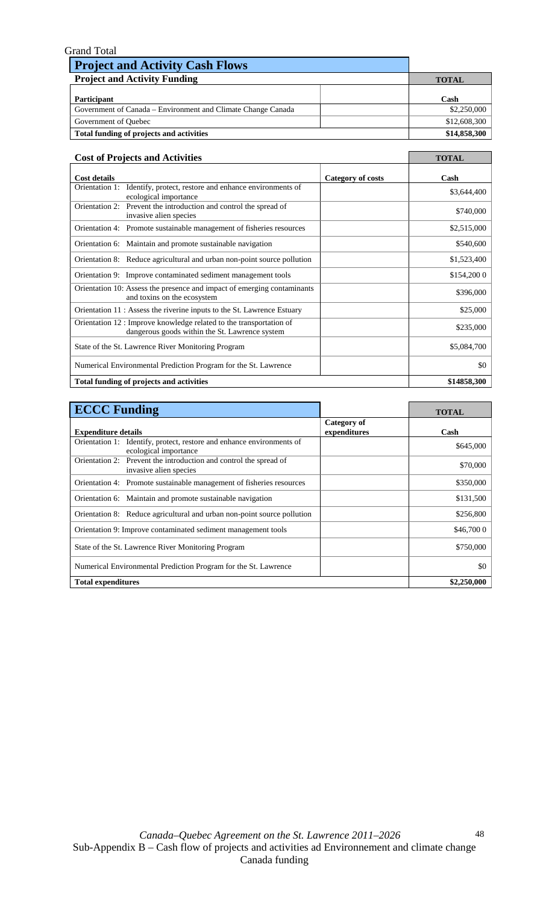| <b>Grand Total</b>                                           |              |
|--------------------------------------------------------------|--------------|
| <b>Project and Activity Cash Flows</b>                       |              |
| <b>Project and Activity Funding</b>                          | <b>TOTAL</b> |
| Participant                                                  | Cash         |
|                                                              |              |
| Government of Canada – Environment and Climate Change Canada | \$2,250,000  |
| Government of Quebec                                         | \$12,608,300 |
| Total funding of projects and activities                     | \$14,858,300 |

| <b>Cost of Projects and Activities</b>                                                                                |                   | <b>TOTAL</b> |
|-----------------------------------------------------------------------------------------------------------------------|-------------------|--------------|
| <b>Cost details</b>                                                                                                   | Category of costs | Cash         |
| Orientation 1: Identify, protect, restore and enhance environments of<br>ecological importance                        |                   | \$3,644,400  |
| Orientation 2: Prevent the introduction and control the spread of<br>invasive alien species                           |                   | \$740,000    |
| Orientation 4: Promote sustainable management of fisheries resources                                                  |                   | \$2,515,000  |
| Orientation 6: Maintain and promote sustainable navigation                                                            |                   | \$540,600    |
| Orientation 8: Reduce agricultural and urban non-point source pollution                                               |                   | \$1,523,400  |
| Orientation 9: Improve contaminated sediment management tools                                                         |                   | \$154,200 0  |
| Orientation 10: Assess the presence and impact of emerging contaminants<br>and toxins on the ecosystem                |                   | \$396,000    |
| Orientation 11 : Assess the riverine inputs to the St. Lawrence Estuary                                               |                   | \$25,000     |
| Orientation 12 : Improve knowledge related to the transportation of<br>dangerous goods within the St. Lawrence system |                   | \$235,000    |
| State of the St. Lawrence River Monitoring Program                                                                    |                   | \$5,084,700  |
| Numerical Environmental Prediction Program for the St. Lawrence                                                       |                   | \$0          |
| Total funding of projects and activities                                                                              |                   | \$14858,300  |

| <b>ECCC Funding</b>                                                                            |                             | <b>TOTAL</b> |
|------------------------------------------------------------------------------------------------|-----------------------------|--------------|
| <b>Expenditure details</b>                                                                     | Category of<br>expenditures | Cash         |
| Orientation 1: Identify, protect, restore and enhance environments of<br>ecological importance |                             | \$645,000    |
| Orientation 2: Prevent the introduction and control the spread of<br>invasive alien species    |                             | \$70,000     |
| Orientation 4: Promote sustainable management of fisheries resources                           |                             | \$350,000    |
| Orientation 6: Maintain and promote sustainable navigation                                     |                             | \$131,500    |
| Orientation 8: Reduce agricultural and urban non-point source pollution                        |                             | \$256,800    |
| Orientation 9: Improve contaminated sediment management tools                                  |                             | \$46,700 0   |
| State of the St. Lawrence River Monitoring Program                                             |                             | \$750,000    |
| Numerical Environmental Prediction Program for the St. Lawrence                                |                             | \$0          |
| <b>Total expenditures</b>                                                                      |                             | \$2,250,000  |